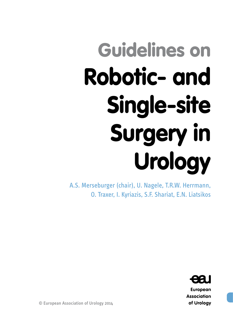# Guidelines on Robotic- and Single-site Surgery in Urology

A.S. Merseburger (chair), U. Nagele, T.R.W. Herrmann, O. Traxer, I. Kyriazis, S.F. Shariat, E.N. Liatsikos



**European Association** of Urology

© European Association of Urology 2014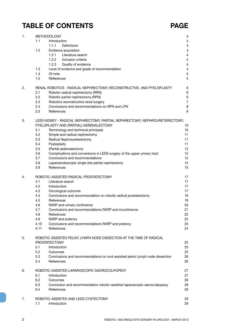## **TABLE OF CONTENTS PAGE**

| 1. |      | <b>METHODOLOGY</b>                                                            | $\overline{4}$ |
|----|------|-------------------------------------------------------------------------------|----------------|
|    | 1.1  | Introduction                                                                  | 4              |
|    |      | <b>Definitions</b><br>1.1.1                                                   | $\overline{4}$ |
|    | 1.2  | Evidence acquisition                                                          | $\overline{4}$ |
|    |      | 1.2.1<br>Literature search                                                    | $\overline{4}$ |
|    |      | 1.2.2<br>Inclusion criteria                                                   | $\overline{4}$ |
|    |      | 1.2.3<br>Quality of evidence                                                  | $\overline{4}$ |
|    | 1.3  | Level of evidence and grade of recommendation                                 | 4              |
|    | 1.4  | Of note                                                                       | $\mathbf 5$    |
|    | 1.5  | References                                                                    | 5              |
| 2. |      | RENAL ROBOTICS - RADICAL NEPHRECTOMY, RECONSTRUCTIVE, AND PYELOPLASTY         | 6              |
|    | 2.1  | Robotic radical nephrectomy (RRN)                                             | $\,6$          |
|    | 2.2  | Robotic partial nephrectomy (RPN)                                             | $\,6$          |
|    | 2.3  | Robotics reconstructive renal surgery                                         | $\overline{7}$ |
|    | 2.4  | Conclusions and recommendations on RPN and LPN                                | 8              |
|    | 2.5  | References                                                                    | 8              |
| 3. |      | LESS KIDNEY - RADICAL NEPHRECTOMY, PARTIAL NEPHRECTOMY, NEPHROURETERECTOMY,   |                |
|    |      | PYELOPLASTY AND (PARTIAL) ADRENALECTOMY                                       | 10             |
|    | 3.1  | Terminology and technical principals                                          | 10             |
|    | 3.2  | Simple and radical nephrectomy                                                | 11             |
|    | 3.3  | Radical Nephroureterectomy                                                    | 11             |
|    | 3.4  | Pyeloplasty                                                                   | 11             |
|    | 3.5  | (Partial-)adrenalectomy                                                       | 12             |
|    | 3.6  | Complications and conversions in LESS surgery of the upper urinary tract      | 12             |
|    | 3.7  | Conclusions and recommendations                                               | 12             |
|    | 3.8  | Laparoendoscopic single site partial nephrectomy                              | 12             |
|    | 3.9  | References                                                                    | 15             |
| 4. |      | ROBOTIC-ASSISTED RADICAL PROSTATECTOMY                                        | 17             |
|    | 4.1  | Literature search                                                             | 17             |
|    | 4.2  | Introduction                                                                  | 17             |
|    | 4.3  | Oncological outcome                                                           | 17             |
|    | 4.4  | Conclusions and recommendation on robotic radical prostatectomy               | 19             |
|    | 4.5  | References                                                                    | 19             |
|    | 4.6  | RARP and urinary continence                                                   | 20             |
|    | 4.7  | Conclusions and recommendations RARP and incontinence                         | 21             |
|    | 4.8  | References                                                                    | 22             |
|    | 4.9  | RARP and potency                                                              | 22             |
|    | 4.10 | Conclusions and recommendations RARP and potency                              | 23             |
|    | 4.11 | References                                                                    | 24             |
| 5. |      | ROBOTIC ASSISTED PELVIC LYMPH NODE DISSECTION AT THE TIME OF RADICAL          |                |
|    |      | <b>PROSTATECTOMY</b>                                                          | 25             |
|    | 5.1  | Introduction                                                                  | 25             |
|    | 5.2  | Outcomes                                                                      | 25             |
|    | 5.3  | Conclusions and recommendations on root-assisted pelvic lymph node dissection | 26             |
|    | 5.4  | References                                                                    | 26             |
| 6. |      | ROBOTIC-ASSISTED LAPAROSCOPIC SACROCOLPOPEXY                                  | 27             |
|    | 6.1  | Introduction                                                                  | 27             |
|    | 6.2  | Outcomes                                                                      | 28             |
|    | 6.3  | Conclusion and recommendation robotic-assisted laparoscopic sacrocolpopexy    | 28             |
|    | 6.4  | References                                                                    | 28             |
| 7. |      | ROBOTIC-ASSISTED AND LESS CYSTECTOMY                                          | 29             |
|    | 7.1  | Introduction                                                                  | 29             |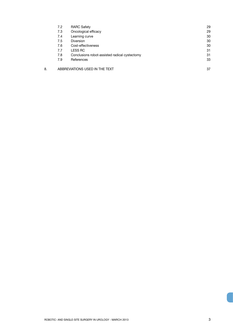|    | 7.2 | <b>RARC Safety</b>                            | 29 |
|----|-----|-----------------------------------------------|----|
|    | 7.3 | Oncological efficacy                          | 29 |
|    | 7.4 | Learning curve                                | 30 |
|    | 7.5 | <b>Diversion</b>                              | 30 |
|    | 7.6 | Cost-effectiveness                            | 30 |
|    | 7.7 | <b>LESS RC</b>                                | 31 |
|    | 7.8 | Conclusions robot-assisted radical cystectomy | 31 |
|    | 7.9 | References                                    | 33 |
| 8. |     | ABBREVIATIONS USED IN THE TEXT                | 37 |
|    |     |                                               |    |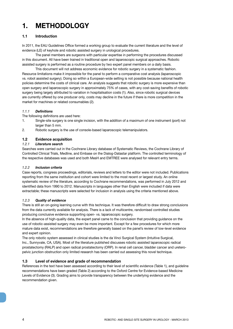## **1. METHODOLOGY**

#### **1.1 Introduction**

In 2011, the EAU Guidelines Office formed a working group to evaluate the current literature and the level of evidence (LE) of keyhole and robotic assisted surgery in urological procedures.

The panel members are surgeons with particular expertise in performing the procedures discussed in this document. All have been trained in traditional open and laparoscopic surgical approaches. Robotic assisted surgery is performed as a routine procedure by two expert panel members on a daily basis.

This document will not address economic evidence for robotic surgery in a systematic fashion. Resource limitations make it impossible for the panel to perform a comparative cost analysis (laparoscopic vs. robot assisted surgery). Doing so within a European-wide setting is not possible because national health policies determine the costs of clinical care. An analysis suggests that robotic surgery is more expensive than open surgery and laparoscopic surgery in approximately 75% of cases, with any cost-saving benefits of robotic surgery being largely attributed to variation in hospitalisation costs (1). Also, since robotic surgical devices are currently offered by one producer only, costs may decline in the future if there is more competition in the market for machines or related consumables (2).

#### *1.1.1 Definitions*

The following definitions are used here:

- 1. Single-site surgery is one single incision, with the addition of a maximum of one instrument (port) not larger than 5 mm.
- 2. Robotic surgery is the use of console-based laparoscopic telemanipulators.

#### **1.2 Evidence acquisition**

#### *1.2.1 Literature search*

Searches were carried out in the Cochrane Library database of Systematic Reviews, the Cochrane Library of Controlled Clinical Trials, Medline, and Embase on the Dialog-Datastar platform. The controlled terminology of the respective databases was used and both MesH and EMTREE were analysed for relevant entry terms.

#### *1.2.2 Inclusion criteria*

Case reports, congress proceedings, editorials, reviews and letters to the editor were not included. Publications reporting from the same institution and cohort were limited to the most recent or largest study. An online systematic review of the literature, according to Cochrane recommendations, was performed in July 2012 and identified data from 1990 to 2012. Manuscripts in languages other than English were included if data were extractable; these manuscripts were selected for inclusion in analysis using the criteria mentioned above.

#### *1.2.3 Quality of evidence*

There is still an on-going learning curve with this technique. It was therefore difficult to draw strong conclusions from the data currently available for analysis. There is a lack of multicentre, randomised controlled studies producing conclusive evidence supporting open- vs. laparoscopic surgery.

In the absence of high-quality data, the expert panel came to the conclusion that providing guidance on the use of robotic-assisted surgery may even be more important. Except for a few procedures for which more mature data exist, recommendations are therefore generally based on the panel's review of low-level evidence and expert opinion.

The only robotic system assessed in clinical studies is the da Vinci Surgical System (Intuitive Surgical, Inc., Sunnyvale, CA, USA). Most of the literature published discusses robotic assisted laparoscopic radical prostatectomy (RALP) and open radical prostatectomy (ORP). In renal cell cancer, bladder cancer and ureteropelvic junction obstruction only limited research has been carried out assessing this novel technique.

#### **1.3 Level of evidence and grade of recommendation**

References in the text have been assessed according to their level of scientific evidence (Table 1), and guideline recommendations have been graded (Table 2) according to the Oxford Centre for Evidence-based Medicine Levels of Evidence (3). Grading aims to provide transparency between the underlying evidence and the recommendation given.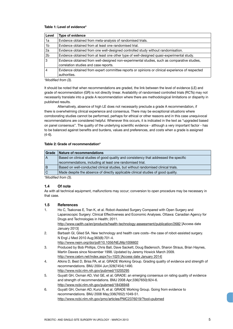#### **Table 1: Level of evidence\***

| Level          | <b>Type of evidence</b>                                                                         |
|----------------|-------------------------------------------------------------------------------------------------|
| 1a             | Evidence obtained from meta-analysis of randomised trials.                                      |
| 1 <sub>b</sub> | Evidence obtained from at least one randomised trial.                                           |
| 2a             | Evidence obtained from one well-designed controlled study without randomisation.                |
| 2 <sub>b</sub> | Evidence obtained from at least one other type of well-designed quasi-experimental study.       |
| 3              | Evidence obtained from well-designed non-experimental studies, such as comparative studies,     |
|                | correlation studies and case reports.                                                           |
| 4              | Evidence obtained from expert committee reports or opinions or clinical experience of respected |
|                | authorities.                                                                                    |

*\*Modified from (3).*

It should be noted that when recommendations are graded, the link between the level of evidence (LE) and grade of recommendation (GR) is not directly linear. Availability of randomised controlled trials (RCTs) may not necessarily translate into a grade A recommendation where there are methodological limitations or disparity in published results.

Alternatively, absence of high LE does not necessarily preclude a grade A recommendation, if there is overwhelming clinical experience and consensus. There may be exceptional situations where corroborating studies cannot be performed, perhaps for ethical or other reasons and in this case unequivocal recommendations are considered helpful. Whenever this occurs, it is indicated in the text as "upgraded based on panel consensus". The quality of the underlying scientific evidence - although a very important factor - has to be balanced against benefits and burdens, values and preferences, and costs when a grade is assigned (4-6).

#### **Table 2: Grade of recommendation\***

| Grade | Nature of recommendations                                                             |
|-------|---------------------------------------------------------------------------------------|
| l A   | Based on clinical studies of good quality and consistency that addressed the specific |
|       | recommendations, including at least one randomised trial.                             |
| B     | Based on well-conducted clinical studies, but without randomised clinical trials.     |
| l C   | Made despite the absence of directly applicable clinical studies of good quality.     |

*\*Modified from (3).*

#### **1.4 Of note**

As with all technical equipment, malfunctions may occur; conversion to open procedure may be necessary in that case.

#### **1.5 References**

- 1. Ho C, Tsakonas E, Tran K, et al. Robot-Assisted Surgery Compared with Open Surgery and Laparoscopic Surgery: Clinical Effectiveness and Economic Analyses. Ottawa: Canadian Agency for Drugs and Technologies in Health; 2011. http://www.cadth.ca/en/products/health-technology-assessment/publication/2682 [Access date January 2013]
- 2. Barbash GI, Glied SA. New technology and health care costs--the case of robot-assisted surgery. N Engl J Med 2010 Aug;363(8):701-4.
	- http://www.nejm.org/doi/pdf/10.1056/NEJMp1006602
- 3. Produced by Bob Phillips, Chris Ball, Dave Sackett, Doug Badenoch, Sharon Straus, Brian Haynes, Martin Dawes since November 1998. Updated by Jeremy Howick March 2009. http://www.cebm.net/index.aspx?o=1025 [Access date January 2014]
- 4. Atkins D, Best D, Briss PA, et al. GRADE Working Group. Grading quality of evidence and strength of recommendations. BMJ 2004 Jun;328(7454):1490. http://www.ncbi.nlm.nih.gov/pubmed/15205295
- 5. Guyatt GH, Oxman AD, Vist GE, et al; GRADE: an emerging consensus on rating quality of evidence and strength of recommendations. BMJ 2008 Apr;336(7650):924-6. http://www.ncbi.nlm.nih.gov/pubmed/18436948
- 6. Guyatt GH, Oxman AD, Kunz R, et al. GRADE Working Group. Going from evidence to recommendations. BMJ 2008 May;336(7652):1049-51. http://www.ncbi.nlm.nih.gov/pmc/articles/PMC2376019/?tool=pubmed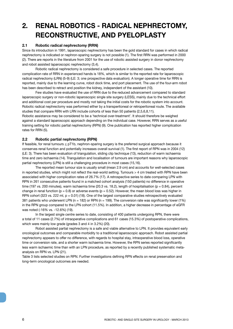## **2. RENAL ROBOTICS - RADICAL NEPHRECTOMY, RECONSTRUCTIVE, AND PYELOPLASTY**

#### **2.1 Robotic radical nephrectomy (RRN)**

Since its introduction in 1991, laparoscopic nephrectomy has been the gold standard for cases in which radical nephrectomy is indicated or nephron-sparing surgery is not possible (1). The first RRN was performed in 2000 (2). There are reports in the literature from 2001 for the use of robotic assisted surgery in donor nephrectomy and robot assisted laparoscopic nephrectomy (3,4).

Robotic radical nephrectomy is considered a safe procedure in selected cases. The reported complication rate of RRN in experienced hands is 18%, which is similar to the reported rate for laparoscopic radical nephrectomy (LRN) (5-9) (LE: 3; one prospective data evaluation). A longer operative time for RRN is reported, mainly due to the learning curve, robot dock time, and port placement. The use of the four-arm robot has been described to retract and position the kidney, independent of the assistant (10).

Few studies have evaluated the use of RRN due to the reduced advancement compared to standard laparoscopic surgery or non-robotic laparoscopic single site surgery (LESS), mainly due to the technical effort and additional cost per procedure and mostly not taking the initial costs for the robotic system into account. Robotic radical nephrectomy was performed either by a transperitoneal or retroperitoneal route. The available studies that compare RRN with LRN include cohorts of less than 50 patients (2,5,6,8,11).

Robotic assistance may be considered to be a 'technical over-treatment'. It should therefore be weighed against a standard laparoscopic approach depending on the individual case. However, RRN serves as a useful training setting for robotic partial nephrectomy (RPN) (9). One publication has reported higher complication rates for RRN (5).

#### **2.2 Robotic partial nephrectomy (RPN)**

If feasible, for renal tumours < pT1b, nephron-sparing surgery is the preferred surgical approach because it conserves renal function and potentially increases overall survival (1). The first report of RPN was in 2004 (12) (LE: 3). There has been evaluation of triangulation, sliding clip technique (13), reduction of warm ischaemia time and zero ischaemia (14). Triangulation and localisation of tumours are important reasons why laparoscopic partial nephrectomy (LPN) is still a challenging procedure in most cases (15,16).

The reported mean tumour size is usually small (mean 2.9 cm) and accounts for well-selected cases in reported studies, which might not reflect the real-world setting. Tumours > 4 cm treated with RPN have been associated with higher complication rates of 26.7% (17). A retrospective series to date comparing LPN with RPN in 261 consecutive patients found in a matched cohort analysis (150 patients) no difference in operative time (197 vs. 200 minutes), warm ischaemia time (20.3 vs. 18.2), length of hospitalisation ( $p = 0.84$ ), percent change in renal function ( $p = 0.8$ ) or adverse events ( $p = 0.52$ ). However, the mean blood loss was higher in RPN cohort (323 vs. 222 ml,  $p = 0.01$ ) (18). One of the largest comparative studies retrospectively evaluated 381 patients who underwent LPN (n = 182) or RPN (n = 199). The conversion rate was significantly lower (1%) in the RPN group compared to the LPN cohort (11.5%). In addition, a higher decrease in percentage of eGFR was noted (-16% vs. -12.6%) (19).

In the largest single centre series to date, consisting of 400 patients undergoing RPN, there were a total of 11 cases (2.7%) of intraoperative complications and 61 cases (15.3%) of postoperative complications, which were mainly low grade (grades 3 and 4 in 3.2%) (20).

Robot assisted partial nephrectomy is a safe and viable alternative to LPN. It provides equivalent early oncological outcomes and comparable morbidity to a traditional laparoscopic approach. Robot assisted partial nephrectomy appears to offer no difference, with regards to hospital stay, intraoperative blood loss, operative time or conversion rate, and a shorter warm ischaemia time. However, the RPN series reported significantly less warm ischaemic time than with an LPN procedure, as reported by a recently published systematic metaanalysis on RPN vs. LPN (21).

Table 3 lists selected studies on RPN. Further investigations defining RPN effects on renal preservation and long-term oncological outcomes are needed.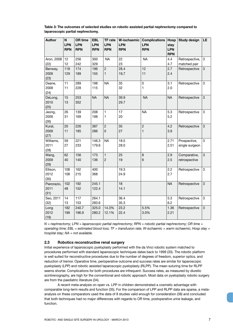**Table 3: The outcomes of selected studies on robotic assisted partial nephrectomy compared to laparoscopic partial nephrectomy.**

| <b>Author</b>               | N<br><b>LPN</b><br><b>RPN</b> | <b>OR time</b><br><b>LPN</b><br><b>RPN</b> | <b>EBL</b><br><b>LPN</b><br><b>RPN</b> | <b>TF</b> rate<br><b>LPN</b><br><b>RPN</b> | W-ischaemic<br><b>LPN</b><br><b>RPN</b> | <b>Complications</b><br><b>LPN</b><br><b>RPN</b> | Hosp<br>stay<br><b>LPN</b><br><b>RPN</b> | <b>Study design</b>            | LE           |
|-----------------------------|-------------------------------|--------------------------------------------|----------------------------------------|--------------------------------------------|-----------------------------------------|--------------------------------------------------|------------------------------------------|--------------------------------|--------------|
| Aron, 2008<br>(22)          | 12<br>12                      | 256<br>242                                 | 300<br>329                             | <b>NA</b>                                  | 22<br>23                                | <b>NA</b>                                        | 4.4<br>4.7                               | Retrospective,<br>matched pair | 3            |
| Benway,<br>2009<br>(23)     | 118<br>129                    | 174<br>189                                 | 196<br>155                             | $\overline{c}$<br>1                        | 28.4<br>19,7                            | 12<br>11                                         | 2.7<br>2.4                               | Retrospective                  | 3            |
| Deane,<br>2008<br>(24)      | 11<br>11                      | 289<br>228                                 | 198<br>115                             | <b>NA</b>                                  | 35<br>32                                | $\mathbf 0$<br>$\mathbf{1}$                      | 3.1<br>2.0                               | Retrospective                  | 3            |
| DeLong,<br>2010<br>(25)     | 15<br>13                      | 253<br>352                                 | <b>NA</b>                              | <b>NA</b>                                  | 39.9<br>29.7                            | <b>NA</b>                                        | <b>NA</b>                                | Retrospective                  | $\mathbf{3}$ |
| Jeong,<br>2009<br>(26)      | 26<br>31                      | 139<br>169                                 | 208<br>198                             | 1<br>1                                     | 17<br>20                                | <b>NA</b>                                        | 5.3<br>5.2                               | Retrospective                  | 3            |
| Kural,<br>2009<br>(27)      | 20<br>11                      | 226<br>185                                 | 387<br>286                             | $\overline{c}$<br>0                        | 35<br>27                                | $\overline{c}$<br>$\mathbf{1}$                   | 4.2<br>3.9                               | Retrospective                  | 3            |
| Williams,<br>2011<br>(28)   | 59<br>27                      | 221<br>233                                 | 146.3<br>179.6                         | <b>NA</b>                                  | 18.5<br>28.0                            |                                                  | 2.71<br>2.51                             | Prospective,<br>single surgeon | 3            |
| Wang,<br>2009<br>(29)       | 62<br>40                      | 156<br>140                                 | 173<br>136                             | $\mathbf{1}$<br>$\overline{c}$             | 25<br>19                                | 8<br>$6\phantom{1}6$                             | 2.9<br>2.5                               | Comparative,<br>retrospective  | 3            |
| Ellison,<br>2012<br>(30)    | 108<br>108                    | 162<br>215                                 | 400<br>368                             |                                            | 19.3<br>24.9                            |                                                  | 2.2<br>2.7                               | Retrospective                  | 3            |
| Pierorazio,<br>2011<br>(31) | 102<br>48                     | 192<br>152                                 | 245.1<br>122.4                         |                                            | 18<br>14.1                              |                                                  | <b>NA</b>                                | Retrospective                  | 3            |
| Seo, 2011<br>(32)           | 14<br>13                      | 117<br>153                                 | 264.1<br>283.6                         |                                            | 36.4<br>35.3                            |                                                  | 5.3<br>6.2                               | Retrospective                  | 3            |
| Long<br>2012<br>(19)        | 182<br>199                    | 240.7<br>196.9                             | 325.0<br>280.2                         | 14.3%<br>12.1%                             | 23.2<br>22.4                            | 5.5%<br>3.0%                                     | 1.36<br>2.21                             | Retrospective                  | 3            |

*N = nephrectomy; LPN = laparoscopic partial nephrectomy; RPN = robotic partial nephrectomy; OR time = operating time; EBL = estimated blood loss; TF = transfusion rate; W-ischaemic = warm ischaemic; Hosp stay = hospital stay; NA = not available.*

#### **2.3 Robotics reconstructive renal surgery**

Initial experience of laparoscopic pyeloplasty performed with the da Vinci robotic system matched to procedures performed with standard laparoscopic techniques dates back to 1999 (33). The robotic platform is well suited for reconstructive procedures due to the number of degrees of freedom, superior optics, and reduction of tremor. Operative time, perioperative outcome and success rates are similar for laparoscopic pyeloplasty (LPP) and robotic assisted laparoscopic pyeloplasty (RLPP). The mean suturing time for RLPP seems shorter. Complications for both procedures are infrequent. Success rates, as measured by diuretic scintirenography, are high for the conventional and robotic approach. Most data on pyeloplasty robotic surgery are from the paediatric literature (34).

A recent meta-analysis on open vs. LPP in children demonstrated a cosmetic advantage with comparable long-term results and function (35). For the comparison of LPP and RLPP data are sparse, a metaanalysis on these comparators used the data of 8 studies valid enough for consideration (36) and concluded that both techniques had no major differences with regards to OR time, postoperative urine leakage, and function.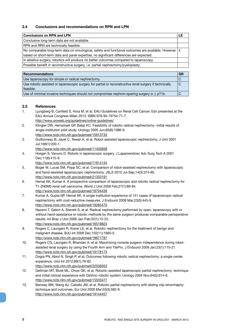#### **2.4 Conclusions and recommendations on RPN and LPN**

| <b>Conclusions on RPN and LPN</b>                                                                      |  |
|--------------------------------------------------------------------------------------------------------|--|
| Conclusive long-term data are not available.                                                           |  |
| RPN and RRN are technically feasible.                                                                  |  |
| No comparable long-term data on oncological, safety and functional outcomes are available. However,  4 |  |
| based on short-term data and panel expertise, no significant differences are expected.                 |  |
| In ablative surgery, robotics will produce no better outcomes compared to laparoscopy.                 |  |
| Possible benefit in reconstructive surgery, i.e. partial nephrectomy/pyeloplasty.                      |  |

| Recommendations                                                                                         | GR |
|---------------------------------------------------------------------------------------------------------|----|
| Use laparoscopy for simple or radical nephrectomy.                                                      |    |
| Use robotic assisted or laparoscopic surgery for partial or reconstructive renal surgery if technically |    |
| feasible.                                                                                               |    |
| Use of minimal invasive techniques should not compromise nephron-sparing surgery in $\leq$ pT1b.        |    |

#### **2.5 References**

- 1. Ljungberg B, Canfield S, Hora M, et al. EAU Guidelines on Renal Cell Cancer. Edn presented at the EAU Annual Congress Milan 2013. ISBN 978-90-79754-71-7. http://www.uroweb.org/guidelines/online-guidelines/
- 2. Klingler DW, Hemstreet GP, Balaji KC. Feasibility of robotic radical nephrectomy--initial results of single-institution pilot study. Urology 2005 Jun;65(6):1086-9. http://www.ncbi.nlm.nih.gov/pubmed/15913733
- 3. Guillonneau B, Jayet C, Tewari A, et al. Robot assisted laparoscopic nephrectomy. J Urol 2001 Jul;166(1):200-1.
	- http://www.ncbi.nlm.nih.gov/pubmed/11435858
- 4. Horgan S, Vanuno D. Robots in laparoscopic surgery. J Laparoendosc Adv Surg Tech A 2001 Dec;11(6):415-9.
	- http://www.ncbi.nlm.nih.gov/pubmed/11814134
- 5. Boger M, Lucas SM, Popp SC, et al. Comparison of robot-assisted nephrectomy with laparoscopic and hand-assisted laparoscopic nephrectomy. JSLS 2010 Jul-Sep;14(3):374-80. http://www.ncbi.nlm.nih.gov/pubmed/21333191
- 6. Hemal AK, Kumar A. A prospective comparison of laparoscopic and robotic radical nephrectomy for T1-2N0M0 renal cell carcinoma. World J Urol 2009 Feb;27(1):89-94. http://www.ncbi.nlm.nih.gov/pubmed/18704439
- 7. Kumar A, Gupta NP, Hemal AK. A single institution experience of 141 cases of laparoscopic radical nephrectomy with cost-reductive measures. J Endourol 2009 Mar;23(3):445-9. http://www.ncbi.nlm.nih.gov/pubmed/19265470
- 8. Nazemi T, Galich A, Sterrett S, et al. Radical nephrectomy performed by open, laparoscopy with or without hand-assistance or robotic methods by the same surgeon produces comparable perioperative results. Int Braz J Urol 2006 Jan-Feb;32(1):15-22. http://www.ncbi.nlm.nih.gov/pubmed/16519823
- 9. Rogers C, Laungani R, Krane LS, et al. Robotic nephrectomy for the treatment of benign and malignant disease. BJU Int 2008 Dec;102(11):1660-5. http://www.ncbi.nlm.nih.gov/pubmed/18671787
- 10. Rogers CG, Laungani R, Bhandari A, et al. Maximizing console surgeon independence during robotassisted renal surgery by using the Fourth Arm and TilePro. J Endourol 2009 Jan;23(1):115-21. http://www.ncbi.nlm.nih.gov/pubmed/19178173
- 11. Dogra PN, Abrol N, Singh P, et al. Outcomes following robotic radical nephrectomy: a single-center experience. Urol Int 2012;89(1):78-82.
- http://www.ncbi.nlm.nih.gov/pubmed/22538353
- 12. Gettman MT, Blute ML, Chow GK, et al. Robotic-assisted laparoscopic partial nephrectomy: technique and initial clinical experience with DaVinci robotic system. Urology 2004 Nov;64(5):914-8. http://www.ncbi.nlm.nih.gov/pubmed/15533477
- 13. Benway BM, Wang AJ, Cabello JM, et al. Robotic partial nephrectomy with sliding-clip renorrhaphy: technique and outcomes. Eur Urol 2009 Mar;55(3):592-9. http://www.ncbi.nlm.nih.gov/pubmed/19144457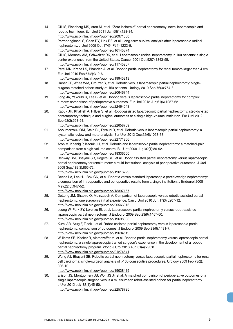- 14. Gill IS, Eisenberg MS, Aron M, et al. "Zero ischemia" partial nephrectomy: novel laparoscopic and robotic technique. Eur Urol 2011 Jan;59(1):128-34. http://www.ncbi.nlm.nih.gov/pubmed/20971550
- 15. Permpongkosol S, Chan DY, Link RE, et al. Long-term survival analysis after laparoscopic radical nephrectomy. J Urol 2005 Oct;174(4 Pt 1):1222-5. http://www.ncbi.nlm.nih.gov/pubmed/16145374
- 16. Gill IS, Meraney AM, Schweizer DK, et al. Laparoscopic radical nephrectomy in 100 patients: a single center experience from the United States. Cancer 2001 Oct;92(7):1843-55. http://www.ncbi.nlm.nih.gov/pubmed/11745257
- 17. Patel MN, Krane LS, Bhandari A, et al. Robotic partial nephrectomy for renal tumors larger than 4 cm. Eur Urol 2010 Feb;57(2):310-6. http://www.ncbi.nlm.nih.gov/pubmed/19945213
- 18. Haber GP, White WM, Crouzet S, et al. Robotic versus laparoscopic partial nephrectomy: singlesurgeon matched cohort study of 150 patients. Urology 2010 Sep;76(3):754-8. http://www.ncbi.nlm.nih.gov/pubmed/20646744
- 19. Long JA, Yakoubi R, Lee B, et al. Robotic versus laparoscopic partial nephrectomy for complex tumors: comparison of perioperative outcomes. Eur Urol 2012 Jun;61(6):1257-62. http://www.ncbi.nlm.nih.gov/pubmed/22464543
- 20. Kaouk JH, Khalifeh A, Hillyer S, et al. Robot-assisted laparoscopic partial nephrectomy: step-by-step contemporary technique and surgical outcomes at a single high-volume institution. Eur Urol 2012 Sep;62(3):553-61.
	- http://www.ncbi.nlm.nih.gov/pubmed/22658759
- 21. Aboumarzouk OM, Stein RJ, Eyraud R, et al. Robotic versus laparoscopic partial nephrectomy: a systematic review and meta-analysis. Eur Urol 2012 Dec;62(6):1023-33. http://www.ncbi.nlm.nih.gov/pubmed/22771266
- 22. Aron M, Koenig P, Kaouk JH, et al. Robotic and laparoscopic partial nephrectomy: a matched-pair comparison from a high-volume centre. BJU Int 2008 Jul;102(1):86-92. http://www.ncbi.nlm.nih.gov/pubmed/18336600
- 23. Benway BM, Bhayani SB, Rogers CG, et al. Robot assisted partial nephrectomy versus laparoscopic partial nephrectomy for renal tumors: a multi-institutional analysis of perioperative outcomes. J Urol 2009 Sep;182(3):866-72.
	- http://www.ncbi.nlm.nih.gov/pubmed/19616229
- 24. Deane LA, Lee HJ, Box GN, et al. Robotic versus standard laparoscopic partial/wedge nephrectomy: a comparison of intraoperative and perioperative results from a single institution. J Endourol 2008 May;22(5):947-52.
	- http://www.ncbi.nlm.nih.gov/pubmed/18397157
- 25. DeLong JM, Shapiro O, Moinzadeh A. Comparison of laparoscopic versus robotic assisted partial nephrectomy: one surgeon's initial experience. Can J Urol 2010 Jun;17(3):5207-12. http://www.ncbi.nlm.nih.gov/pubmed/20566016
- 26. Jeong W, Park SY, Lorenzo EI, et al. Laparoscopic partial nephrectomy versus robot-assisted laparoscopic partial nephrectomy. J Endourol 2009 Sep;23(9):1457-60. http://www.ncbi.nlm.nih.gov/pubmed/19698038
- 27. Kural AR, Atug F, Tufek I, et al. Robot-assisted partial nephrectomy versus laparoscopic partial nephrectomy: comparison of outcomes. J Endourol 2009 Sep;23(9):1491-7. http://www.ncbi.nlm.nih.gov/pubmed/19694519
- 28. Williams SB, Kacker R, Alemozaffar M, et al. Robotic partial nephrectomy versus laparoscopic partial nephrectomy: a single laparoscopic trained surgeon's experience in the development of a robotic partial nephrectomy program. World J Urol 2013 Aug;31(4):793:8. http://www.ncbi.nlm.nih.gov/pubmed/21274541
- 29. Wang AJ, Bhayani SB. Robotic partial nephrectomy versus laparoscopic partial nephrectomy for renal cell carcinoma: single-surgeon analysis of >100 consecutive procedures. Urology 2009 Feb;73(2): 306-10.

http://www.ncbi.nlm.nih.gov/pubmed/19038419

30. Ellison JS, Montgomery JS, Wolf JS Jr, et al. A matched comparison of perioperative outcomes of a single laparoscopic surgeon versus a multisurgeon robot-assisted cohort for partial nephrectomy. J Urol 2012 Jul;188(1):45-50. http://www.ncbi.nlm.nih.gov/pubmed/22578725

ROBOTIC- AND SINGLE-SITE SURGERY IN UROLOGY - MARCH 2013 **1998** 99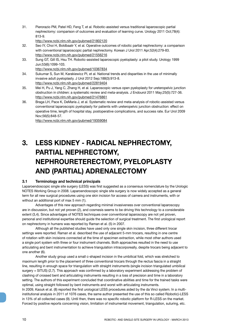31. Pierorazio PM, Patel HD, Feng T, et al. Robotic-assisted versus traditional laparoscopic partial nephrectomy: comparison of outcomes and evaluation of learning curve. Urology 2011 Oct;78(4): 813-9.

http://www.ncbi.nlm.nih.gov/pubmed/21802120

- 32. Seo IY, Choi H, Boldbaatr Y, et al. Operative outcomes of robotic partial nephrectomy: a comparison with conventional laparoscopic partial nephrectomy. Korean J Urol 2011 Apr;52(4):279-83. http://www.ncbi.nlm.nih.gov/pubmed/21556216
- 33. Sung GT, Gill IS, Hsu TH. Robotic-assisted laparoscopic pyeloplasty: a pilot study. Urology 1999 Jun;53(6):1099-103.

http://www.ncbi.nlm.nih.gov/pubmed/10367834

34. Sukumar S, Sun M, Karakiewicz PI, et al. National trends and disparities in the use of minimally invasive adult pyeloplasty. J Urol 2012 Sep;188(3):913-8.

http://www.ncbi.nlm.nih.gov/pubmed/22819404

- 35. Mei H, Pu J, Yang C, Zhang H, et al. Laparoscopic versus open pyeloplasty for ureteropelvic junction obstruction in children: a systematic review and meta-analysis. J Endourol 2011 May;25(5):727-36. http://www.ncbi.nlm.nih.gov/pubmed/21476861
- 36. Braga LH, Pace K, DeMaria J, et al. Systematic review and meta-analysis of robotic-assisted versus conventional laparoscopic pyeloplasty for patients with ureteropelvic junction obstruction: effect on operative time, length of hospital stay, postoperative complications, and success rate. Eur Urol 2009 Nov;56(5):848-57.

http://www.ncbi.nlm.nih.gov/pubmed/19359084

## **3. LESS KIDNEY - RADICAL NEPHRECTOMY, PARTIAL NEPHRECTOMY, NEPHROURETERECTOMY, PYELOPLASTY AND (PARTIAL) ADRENALECTOMY**

#### **3.1 Terminology and technical principals**

Laparoendoscopic single site surgery (LESS) was first suggested as a consensus nomenclature by the Urologic NOTES Working Group in 2008. Laparoendoscopic single site surgery is now widely accepted as a general term for all new surgical procedures using one skin incision for access of camera and instruments, with or without an additional port of max 5 mm (1).

Advantages of this new approach regarding minimal invasiveness over conventional laparoscopy are in discussion, but not yet proven (2), and cosmesis seems to be driving this technology to a considerable extent (3,4). Since advantages of NOTES techniques over conventional laparoscopy are not yet proven, personal and institutional expertise should guide the selection of surgical treatment. The first urological report on nephrectomy in humans was reported by Raman et al. (5) in 2007.

Although all the published studies have used only one single skin incision, three different trocar settings were reported. Raman et al. described the use of adjacent 5-mm trocars, resulting in one centre of rotation with skin incisions connected at the time of specimen extraction, while most other authors used a single port system with three or four instrument channels. Both approaches resulted in the need to use articulating and bent instrumentation to achieve triangulation intracorporeally, despite trocars being adjacent to one another (6).

Another study group used a small c-shaped incision in the umbilical fold, which was stretched to maximum length prior to the placement of three conventional trocars through the rectus fascia in a straight line, resulting in enough space for triangulation with straight instruments (single incision triangulated umbilical surgery = SITUS) (2,7). This approach was confirmed by a laboratory experiment addressing the problem of clashing of crossed bent and articulating instruments resulting in a loss of precision and time in a laboratory setting. The authors of this experiment concluded that coordinative abilities and time for the trained tasks were optimal, using straight followed by bent instruments and worst with articulating instruments.

In 2009, Kaouk et al. (8) reported the first urological LESS procedures aided by the da Vinci system. In a multiinstitutional analysis in 2011 of 1076 cases, the same author presented the use of this so called R(obotic)-LESS in 13% of all collected cases (9). Until then, there was no specific robotic platform for R-LESS on the market. Forced by positive reports concerning vision, limitation of instrumental movement, triangulation, suturing, etc.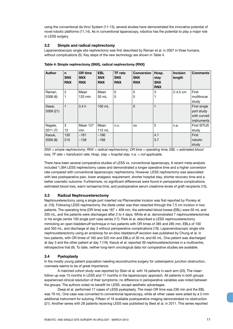using the conventional da Vinci System (11-13), several studies have demonstrated the innovative potential of novel robotic platforms (11,14). As in conventional laparoscopy, robotics has the potential to play a major role in LESS surgery.

#### **3.2 Simple and radical nephrectomy**

Laparoendoscopic single site nephrectomy was first described by Raman et al. in 2007 in three humans, without complications (5). Key steps of the new technology are shown in Table 4.

| <b>Author</b> | $\mathbf n$<br><b>SNX</b><br><b>RNX</b> | <b>OR time</b><br><b>SNX</b><br><b>RNX</b> | <b>EBL</b><br><b>SNX</b><br><b>RNX</b> | <b>TF</b> rate<br><b>SNX</b><br><b>RNX</b> | <b>Conversion</b><br><b>SNX</b><br><b>RNX</b> | Hosp.<br>stay<br><b>SNX</b><br><b>RNX</b> | <b>Incision</b><br>length | <b>Comments</b>    |
|---------------|-----------------------------------------|--------------------------------------------|----------------------------------------|--------------------------------------------|-----------------------------------------------|-------------------------------------------|---------------------------|--------------------|
| Raman,        | 2                                       | Mean                                       | Mean                                   | 0                                          | $\mathbf{0}$                                  | 3                                         | $2 - 4.5$ cm              | First              |
| 2008(6)       |                                         | 133 min                                    | 30 mL                                  | 0                                          | 0                                             | 1                                         |                           | multitrocar        |
|               |                                         |                                            |                                        |                                            |                                               |                                           |                           | study              |
| Desai,        | 1                                       | 3.4h                                       | 100 mL                                 |                                            | $\mathbf 0$                                   | 1                                         |                           | First single       |
| 2009(21)      |                                         |                                            |                                        |                                            |                                               |                                           |                           | port study         |
|               |                                         |                                            |                                        |                                            |                                               |                                           |                           | with curved        |
|               |                                         |                                            |                                        |                                            |                                               |                                           |                           | instruments        |
| Nagele,       | 3                                       | Mean 127                                   | Mean                                   | n.c.                                       | no                                            | 5                                         | n.a.                      | <b>First SITUS</b> |
| 2011(7)       | 12                                      | min                                        | $115$ mL                               |                                            |                                               |                                           |                           | study              |
| Kaouk,        | 130                                     | ~161                                       | ~166                                   |                                            |                                               | 4.1                                       |                           | First              |
| 2009(8)       | 210                                     | ~158                                       | ~168                                   |                                            |                                               | 3.7                                       |                           | robotic            |
|               |                                         |                                            |                                        |                                            |                                               |                                           |                           | study              |

**Table 4: Simple nephrectomy (SNX), radical nephrectomy (RNX)** 

*SNX = simple nephrectomy; RNX = radical nephrectomy; OR time = operating time; EBL = estimated blood loss; TF rate = transfusion rate; Hosp. stay = hospital stay; n.a. = not applicable.* 

There have been several comparative studies of LESS vs. conventional laparoscopy. A recent meta-analysis included 1,094 LESS nephrectomy cases and demonstrated a longer operative time and a higher conversion rate compared with conventional laparoscopic nephrectomy. However, LESS nephrectomy was associated with less postoperative pain, lower analgesic requirement, shorter hospital stay, shorter recovery time and a better cosmetic outcome. Furthermore, no significant differences were found in perioperative complications, estimated blood loss, warm ischaemia time, and postoperative serum creatinine levels of graft recipients (15).

#### **3.3 Radical Nephroureterectomy**

Nephroureterectomy using a single port inserted via Pfannenstiel incision was first reported by Ponsky et al. (16). Following LESS nephrectomy, the distal ureter was then resected through the 7.5 cm incision in two patients. The operating time (OR time) was 187 + 409 min, the estimated blood losses (EBL) were 50 mL and 200 mL, and the patients were discharged after 2 to 4 days. White et al. demonstrated 7 nephroureterectomies in his single centre 100 single port case series (17). Park et al. described a LESS nephroureterectomy mimicking an open bladdercuff technique in two patients with OR times of 385 and 285 min, EBLs of 100 and 350 mL, and discharge at day 3 without perioperative complications (18). Laparoendoscopic single site nephroureterectomy using an endoloop for en-bloc bladdercuff excision was published by Chung et al. in two patients, with OR times of 165 and 325 min and EBLs of 30 mL and 65 mL. One patient was discharged at day 3 and the other patient at day 7 (19). Kaouk et al. reported 39 nephroureterectomies in a multicentre, retrospective trial (9). To date, neither long-term oncological data nor comparative studies are available.

#### **3.4 Pyeloplasty**

In the mostly young patient population needing reconstructive surgery for ureteropelvic junction obstruction, cosmesis seems to be of great importance.

A matched cohort study was reported by Stein et al. with 16 patients in each arm (20). The mean follow-up was 13 months in LESS and 17 months in the laparoscopic approach. All patients in both groups experienced clinical resolution of their symptoms; no difference in perioperative variables was noted between the groups. The authors noted no benefit for LESS, except aesthetic advantages.

Desai et al. performed 17 cases of LESS pyeloplasty. The mean OR time was 236 min and the EBL was 79 mL. One case was converted to conventional laparoscopy, while all other cases were aided by a 2-mm additional instrument for suturing. Fifteen of 16 available postoperative imaging demonstrated no obstruction (21). Another series with 28 patients receiving LESS was published by Best et al. in 2011. This series reported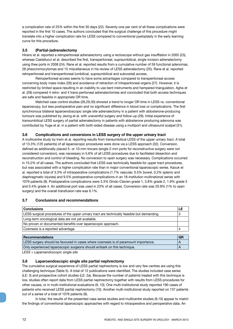a complication rate of 25% within the first 30 days (22). Seventy-one per cent of all these complications were reported in the first 10 cases. The authors concluded that the surgical challenge of this procedure might translate into a higher complication rate for LESS compared to conventional pyeloplasty in the early learning curve for this procedure.

#### **3.5 (Partial-)adrenalectomy**

Hirano et al. reported a retroperitoneal adrenalectomy using a rectoscope without gas insufflation in 2005 (23), whereas Castellucci et al. described the first, transperitoneal, supraumbilical, single incision adrenalectomy using thee ports in 2008 (24). Rane et al. reported results from a cumulative number of 59 functional adenomas, 28 pheocromocytomas and 15 miscellaneous in his review of LESS adrenalectomy (25). Rane et al. reported retroperitoneal and transperitoneal (umbilical, supraumbilical and subcostal) access.

Retroperitoneal access seems to have some advantages compared to transperitoneal access concerning body mass index (26) and avoidance of retraction of intraperitoneal organs (27). However, it is restricted by limited space resulting in an inability to use bent instruments and hampered triangulation. Agha et al. (28) compared 4 retro- and 4 trans-peritoneal adrenalectomies and concluded that both access techniques are safe and feasible in appropriate OR time.

Matched case control studies (26,29,30) showed a trend to longer OR time in LESS vs. conventional laparoscopy, but less postoperative pain and no significant difference in blood loss or complications. The first synchronous bilateral laparoendoscopic single site adrenalectomy in a patient with aldosterone-producing tumours was published by Jeong et al. with uneventful surgery and follow-up (29). Initial experience of transumbilical LESS surgery of partial adrenalectomy in patients with aldosterone producing adenoma was contributed by Yuge et al. in a patient with both-sided disease using a multiport and ultrasound scalpel (31).

#### **3.6 Complications and conversions in LESS surgery of the upper urinary tract**

A multicentre study by Irwin et al. reporting results from transumbilical LESS of the upper urinary tract. A total of 13.3% (125 patients) of all laparoscopic procedures were done via a LESS approach (32). Conversion, defined as additionally placed 5- or 10-mm trocars (single 2-mm ports for reconstructive surgery were not considered conversion), was necessary in 5.6% of all LESS procedures due to facilitated dissection and reconstruction and control of bleeding. No conversion to open surgery was necessary. Complications occurred in 15.2% of all cases. The authors concluded that LESS was technically feasible for upper tract procedures, but was associated with a higher complication rate than in major conventional laparoscopic series. Kaouk et al. reported a total of 3.3% of intraoperative complications (1.7% vascular, 0.5% bowel, 0.2% splenic and diaphragmatic injuries) and 9.5% postoperative complications in an 18-institution multinational series with 1076 patients (9). Postoperative complications were 3.3% Dindo-Clavien grade 1, 3.8% grade 2, 1.9% grade 3 and 0.4% grade 4. An additional port was used in 23% of all cases. Conversion rate was 20.8% (1% to open surgery) and the overall transfusion rate was 6.1%.

## **3.7 Conclusions and recommendations**

| <b>Conclusions</b>                                                                          | LE        |
|---------------------------------------------------------------------------------------------|-----------|
| LESS surgical procedures of the upper urinary tract are technically feasible but demanding. | 3         |
| Long-term oncological data are not yet available.                                           |           |
| No proven or documented benefits over laparoscopic approach.                                |           |
| Cosmesis is a reported advantage.                                                           | 4         |
|                                                                                             |           |
| <b>Recommendations</b>                                                                      | <b>GR</b> |
| LESS surgery should be favoured in cases where cosmesis is of paramount importance.         | A         |
| Only experienced laparoscopic surgeons should embark on this technique.                     | А         |

*LESS = Laparoendoscopic single site*

#### **3.8 Laparoendoscopic single site partial nephrectomy**

The cumulative surgical experience of LESS partial nephrectomy is low and very few centres are using this challenging technique (Table 5). A total of 12 publications were identified. The studies included case series (LE: 3) and prospective cohort studies (LE: 2a). Because the number of patients treated with this technique is low, studies often report data from LESS partial nephrectomy together with results from LESS procedures for other causes, or in multi-institutional evaluations (9, 10). One multi-institutional study reported 190 cases of patients who received LESS partial nephrectomy (10). Another multi-institutional study reported on 137 patients out of a series of a total of 1076 patients (9).

In total, the results of the presented case series studies and multicentre studies (9,10) appear to match the findings of conventional laparoscopic approaches with regard to intraoperative and perioperative data. An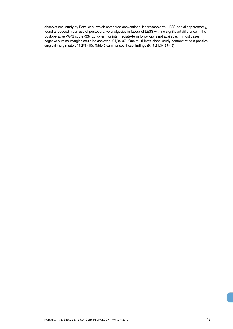observational study by Bazzi et al. which compared conventional laparoscopic vs. LESS partial nephrectomy, found a reduced mean use of postoperative analgesics in favour of LESS with no significant difference in the postoperative VAPS score (33). Long-term or intermediate-term follow-up is not available. In most cases, negative surgical margins could be achieved (21,34-37). One multi-institutional study demonstrated a positive surgical margin rate of 4.2% (10). Table 5 summarises these findings (9,17,21,34,37-42).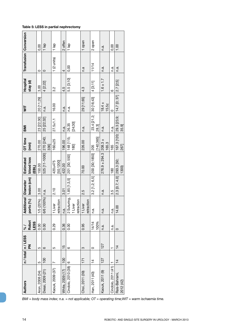| Desai, 2009 (21)<br>Aron, 2008 (34)                                                               |                 | n/total n/LESS | $\frac{5}{6}$        | onal<br><b>Additic</b>                | <b>Diameter</b>  | Estimated                     | OT time           | <b>IMB</b>                       | Ξ                   | Hospital      |                      | <b>Transfusion Conversion</b> |
|---------------------------------------------------------------------------------------------------|-----------------|----------------|----------------------|---------------------------------------|------------------|-------------------------------|-------------------|----------------------------------|---------------------|---------------|----------------------|-------------------------------|
|                                                                                                   |                 | 좂              | <b>Robot</b><br>LESS | (%)<br>ports                          | lesion (cm)      | blood loss<br>(EBL)           | (min)             |                                  |                     | stay (d)      |                      |                               |
|                                                                                                   | 5               | 5              | 0.00                 | 1/5 (20%)                             | 3.00             | 150.00                        | 270.00            | 23 [22;30]                       | 20 [11;29]          | 3,00          | $\circ$              | 0,00                          |
|                                                                                                   | $\frac{100}{1}$ | ဖ              | 0.00                 | 6/6 (100%)   n.a.                     |                  | 525 [11-1000]                 | 270 [240;<br>336] | 25 [22;32]                       | $n \cdot a$         | 4 [2;22]      | $\circ$              | $\frac{1}{a}$                 |
| Kaouk, 2009 (37)                                                                                  | Ľ               | 5              | 0.29                 | $\overline{5}$<br>retracti<br>1 Liver | 2.10             | 50;1200<br>420±475            | $160 + 25$        | $27.5 + 1.1$                     | 16.00               | 3.2           | $1(2 \text{ units})$ | $1$ lap                       |
| White, 2009 (17)                                                                                  | 100             | 15             | 0.36                 | n.a.                                  | 3.01             | 422.00                        | 196.00            | n.a.                             | n.a.                | 4.5           | 4                    | 2 offen                       |
| Cindolo, 2010 (38)                                                                                | ဖ               | $\circ$        | 0.00                 | 2 Suturing,<br>1 Liver                | $1.85$ [1,3,5]   | 201 [30; 550]                 | 148 [115;<br>180  | [24;30]<br>26.35                 | n.a.                | 5.5 [3;10]    | 0,00                 | $1$ lap                       |
|                                                                                                   |                 |                |                      | retraction                            |                  |                               |                   |                                  |                     |               |                      |                               |
| Choi, 2011 (39)                                                                                   | 171             | က              | 0.95                 | δ.<br>1 Liver<br>retracti             | 2.5              | 70.00                         | 226.00            | n.a.                             | 29 [11;65]          | 4.3           | n.a                  | 1 open                        |
| Han, 2011 (40)                                                                                    | $\frac{4}{4}$   | $\circ$        | 100%<br>14/14        | n.a.                                  | $3.2$ [1,2; 6,5] | 200 [30;1850]                 | [140;365]<br>205  | 23.4 [21.2;<br>28.3              | 30 [16;43]          | 4 [3, 11]     | 11/14                | 2 open                        |
| Kaouk, 2011 (9)                                                                                   | 127             | 127            | n.a.                 | n.a.                                  | n.a.             | $276.9 \pm 294.3$ 208.3 $\pm$ | 165.3             | n.a.                             | $18.4 \pm$<br>15.5z | $1.6 \pm 1.7$ | n.a.                 | n.a.                          |
| Cindolo, 2011 (41)                                                                                |                 | ۳              | n.a.                 | n.a.                                  | 3.5              | 180                           | 165               | n.a.                             | $\circ$             | $\circ$       | n.a.                 | 0,00                          |
| Rais-Bahrami,<br>2012 (42)                                                                        | $\overline{4}$  | $\overline{4}$ | $\circ$              | 14.00                                 | 2.3 [0.7; 4.0]   | 293.3 [50;<br>1300)           | 267]              | 167.3 [120; 29.3 [23.9;<br>35.9] | 14.7 [0; 37]        | 2.7 2.5       | n.a.                 | 1.00                          |
| $BMI = body$ mass index; n.a. = not applicable; $OT = operating$ time; WIT = warm ischaemia time. |                 |                |                      |                                       |                  |                               |                   |                                  |                     |               |                      |                               |

#### **Table 5: LESS in partial nephrectomy**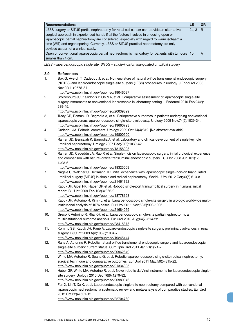| <b>Recommendations</b>                                                                          | LE    | GR |
|-------------------------------------------------------------------------------------------------|-------|----|
| LESS surgery or SITUS partial nephrectomy for renal cell cancer can provide an alternative      | 2a, 3 | B  |
| surgical approach in experienced hands if all the factors involved in choosing open or          |       |    |
| laparoscopic partial nephrectomy are considered, especially with regard to warm ischaemia       |       |    |
| time (WIT) and organ sparing. Currently, LESS or SITUS practical nephrectomy are only           |       |    |
| advised as part of a clinical study.                                                            |       |    |
| Open or conventional laparoscopic partial nephrectomy is mandatory for patients with tumours 1b |       | A  |
| smaller than 4 cm.                                                                              |       |    |

*LESS = laparoendoscopic single site; SITUS = single-incision triangulated umbilical surgery*

#### **3.9 References**

1. Box G, Averch T, Cadeddu J, et al. Nomenclature of natural orifice translumenal endoscopic surgery (NOTES) and laparoendoscopic single-site surgery (LESS) procedures in urology. J Endourol 2008 Nov;22(11):2575-81.

http://www.ncbi.nlm.nih.gov/pubmed/19046097

- 2. Stolzenburg JU, Kallidonis P, Oh MA, et al. Comparative assessment of laparoscopic single-site surgery instruments to conventional laparoscopic in laboratory setting. J Endourol 2010 Feb;24(2): 239-45.
	- http://www.ncbi.nlm.nih.gov/pubmed/20039829
- 3. Tracy CR, Raman JD, Bagrodia A, et al. Perioperative outcomes in patients undergoing conventional laparoscopic versus laparoendoscopic single-site pyeloplasty. Urology 2009 Nov;74(5):1029-34. http://www.ncbi.nlm.nih.gov/pubmed/19660793
- 4. Cadeddu JA. Editorial comment. Urology 2009 Oct;74(4):812. [No abstract available] http://www.ncbi.nlm.nih.gov/pubmed/19800500
- 5. Raman JD, Bensalah K, Bagrodia A, et al. Laboratory and clinical development of single keyhole umbilical nephrectomy. Urology 2007 Dec;70(6):1039-42. http://www.ncbi.nlm.nih.gov/pubmed/18158008
- 6. Raman JD, Cadeddu JA, Rao P, et al. Single-incision laparoscopic surgery: initial urological experience and comparison with natural-orifice transluminal endoscopic surgery. BJU Int 2008 Jun;101(12): 1493-6.
	- http://www.ncbi.nlm.nih.gov/pubmed/18325059
- 7. Nagele U, Walcher U, Herrmann TR. Initial experience with laparoscopic single-incision triangulated umbilical surgery (SITUS) in simple and radical nephrectomy. World J Urol 2012 Oct;30(5):613-8. http://www.ncbi.nlm.nih.gov/pubmed/21461722
- 8. Kaouk JH, Goel RK, Haber GP, et al. Robotic single-port transumbilical surgery in humans: initial report. BJU Int 2009 Feb;103(3):366-9. http://www.ncbi.nlm.nih.gov/pubmed/18778353
- 9. Kaouk JH, Autorino R, Kim FJ, et al. Laparoendoscopic single-site surgery in urology: worldwide multiinstitutional analysis of 1076 cases. Eur Urol 2011 Nov;60(5):998-1005. http://www.ncbi.nlm.nih.gov/pubmed/21684069
- 10. Greco F, Autorino R, Rha KH, et al. Laparoendoscopic single-site partial nephrectomy: a multiinstitutional outcome analysis. Eur Urol 2013 Aug;64(2):314-22. http://www.ncbi.nlm.nih.gov/pubmed/23415378
- 11. Kommu SS, Kaouk JH, Rané A. Laparo-endoscopic single-site surgery: preliminary advances in renal surgery. BJU Int 2009 Apr;103(8):1034-7.
- http://www.ncbi.nlm.nih.gov/pubmed/19245444 12. Rane A, Autorino R. Robotic natural orifice translumenal endoscopic surgery and laparoendoscopic
- single-site surgery: current status. Curr Opin Urol 2011 Jan;21(1):71-7. http://www.ncbi.nlm.nih.gov/pubmed/20962649
- 13. White MA, Autorino R, Spana G, et al. Robotic laparoendoscopic single-site radical nephrectomy: surgical technique and comparative outcomes. Eur Urol 2011 May;59(5):815-22. http://www.ncbi.nlm.nih.gov/pubmed/21334805
- 14. Haber GP, White MA, Autorino R, et al. Novel robotic da Vinci instruments for laparoendoscopic singlesite surgery. Urology 2010 Dec;76(6):1279-82.

http://www.ncbi.nlm.nih.gov/pubmed/20980046

15. Fan X, Lin T, Xu K, et al. Laparoendoscopic single-site nephrectomy compared with conventional laparoscopic nephrectomy: a systematic review and meta-analysis of comparative studies. Eur Urol 2012 Oct;62(4):601-12. http://www.ncbi.nlm.nih.gov/pubmed/22704730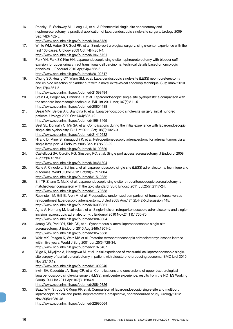nephroureterectomy: a practical application of laparoendoscopic single-site surgery. Urology 2009 Sep;74(3):482-5. http://www.ncbi.nlm.nih.gov/pubmed/19646739 17. White WM, Haber GP, Goel RK, et al. Single-port urological surgery: single-center experience with the first 100 cases. Urology 2009 Oct;74(4):801-4. http://www.ncbi.nlm.nih.gov/pubmed/19615721 18. Park YH, Park SY, Kim HH. Laparoendoscopic single-site nephroureterectomy with bladder cuff excision for upper urinary tract transitional-cell carcinoma: technical details based on oncologic principles. J Endourol 2010 Apr;24(4):563-6. http://www.ncbi.nlm.nih.gov/pubmed/20192817 19. Chung SD, Huang CY, Wang SM, et al. Laparoendoscopic single-site (LESS) nephroureterectomy and en bloc resection of bladder cuff with a novel extravesical endoloop technique. Surg Innov 2010 Dec;17(4):361-5. http://www.ncbi.nlm.nih.gov/pubmed/21098494 20. Stein RJ, Berger AK, Brandina R, et al. Laparoendoscopic single-site pyeloplasty: a comparison with the standard laparoscopic technique. BJU Int 2011 Mar;107(5):811-5. http://www.ncbi.nlm.nih.gov/pubmed/20804488 21. Desai MM, Berger AK, Brandina R, et al. Laparoendoscopic single-site surgery: initial hundred patients. Urology 2009 Oct;74(4):805-12. http://www.ncbi.nlm.nih.gov/pubmed/19643465 22. Best SL, Donnally C, Mir SA, et al. Complications during the initial experience with laparoendoscopic single-site pyeloplasty. BJU Int 2011 Oct;108(8):1326-9. http://www.ncbi.nlm.nih.gov/pubmed/21410632 23. Hirano D, Minei S, Yamaguchi K, et al. Retroperitoneoscopic adrenalectomy for adrenal tumors via a single large port. J Endourol 2005 Sep;19(7):788-92. http://www.ncbi.nlm.nih.gov/pubmed/16190829 24. Castellucci SA, Curcillo PG, Ginsberg PC, et al. Single port access adrenalectomy. J Endourol 2008 Aug;22(8):1573-6. http://www.ncbi.nlm.nih.gov/pubmed/18681804 25. Rane A, Cindolo L, Schips L, et al. Laparoendoscopic single site (LESS) adrenalectomy: technique and outcomes. World J Urol 2012 Oct;30(5):597-604. http://www.ncbi.nlm.nih.gov/pubmed/21519852 26. Shi TP, Zhang X, Ma X, et al. Laparoendoscopic single-site retroperitoneoscopic adrenalectomy: a matched-pair comparison with the gold standard. Surg Endosc 2011 Jul;25(7):2117-24. http://www.ncbi.nlm.nih.gov/pubmed/21170658 27. Rubinstein M, Gill IS, Aron M, et al. Prospective, randomized comparison of transperitoneal versus retroperitoneal laparoscopic adrenalectomy. J Urol 2005 Aug;174(2):442-5;discussion 445. http://www.ncbi.nlm.nih.gov/pubmed/16006861 28. Agha A, Hornung M, Iesalnieks I, et al. Single-incision retroperitoneoscopic adrenalectomy and singleincision laparoscopic adrenalectomy. J Endourol 2010 Nov;24(11):1765-70. http://www.ncbi.nlm.nih.gov/pubmed/20849304 29. Jeong CW, Park YH, Shin CS, et al. Synchronous bilateral laparoendoscopic single-site adrenalectomy. J Endourol 2010 Aug;24(8):1301-5. http://www.ncbi.nlm.nih.gov/pubmed/20575688 30. Walz MK, Peitgen K, Walz MV, et al. Posterior retroperitoneoscopic adrenalectomy: lessons learned within five years. World J Surg 2001 Jun;25(6):728-34. http://www.ncbi.nlm.nih.gov/pubmed/11376407 31. Yuge K, Miyajima A, Hasegawa M, et al. Initial experience of transumbilical laparoendoscopic singlesite surgery of partial adrenalectomy in patient with aldosterone-producing adenoma. BMC Urol 2010 Nov 23;10:19. http://www.ncbi.nlm.nih.gov/pubmed/21092240 32. Irwin BH, Cadeddu JA, Tracy CR, et al. Complications and conversions of upper tract urological laparoendoscopic single-site surgery (LESS): multicentre experience: results from the NOTES Working Group. BJU Int 2011 Apr;107(8):1284-9. http://www.ncbi.nlm.nih.gov/pubmed/20840326 33. Bazzi WM, Stroup SP, Kopp RP, et al. Comparison of laparoendoscopic single-site and multiport laparoscopic radical and partial nephrectomy: a prospective, nonrandomized study. Urology 2012 Nov;80(5):1039-45. http://www.ncbi.nlm.nih.gov/pubmed/22990064

16. Ponsky LE, Steinway ML, Lengu IJ, et al. A Pfannenstiel single-site nephrectomy and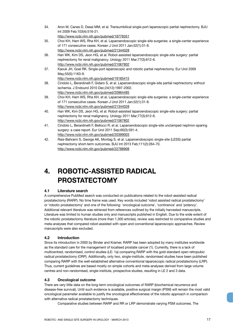- 34. Aron M, Canes D, Desai MM, et al. Transumbilical single-port laparoscopic partial nephrectomy. BJU Int 2009 Feb;103(4):516-21. http://www.ncbi.nlm.nih.gov/pubmed/18778351
- 35. Choi KH, Ham WS, Rha KH, et al. Laparoendoscopic single-site surgeries: a single-center experience of 171 consecutive cases. Korean J Urol 2011 Jan;52(1):31-8. http://www.ncbi.nlm.nih.gov/pubmed/21344028
- 36. Han WK, Kim DS, Jeon HG, et al. Robot-assisted laparoendoscopic single-site surgery: partial nephrectomy for renal malignancy. Urology 2011 Mar;77(3):612-6. http://www.ncbi.nlm.nih.gov/pubmed/21067802
- 37. Kaouk JH, Goel RK. Single-port laparoscopic and robotic partial nephrectomy. Eur Urol 2009 May;55(5):1163-9. http://www.ncbi.nlm.nih.gov/pubmed/19185415
- 38. Cindolo L, Berardinelli F, Gidaro S, et al. Laparoendoscopic single-site partial nephrectomy without ischemia. J Endourol 2010 Dec;24(12):1997-2002. http://www.ncbi.nlm.nih.gov/pubmed/20964485
- 39. Choi KH, Ham WS, Rha KH, et al. Laparoendoscopic single-site surgeries: a single-center experience of 171 consecutive cases. Korean J Urol 2011 Jan;52(1):31-8. http://www.ncbi.nlm.nih.gov/pubmed/21344028
- 40. Han WK, Kim DS, Jeon HG, et al. Robot-assisted laparoendoscopic single-site surgery: partial nephrectomy for renal malignancy. Urology 2011 Mar;77(3):612-6. http://www.ncbi.nlm.nih.gov/pubmed/21067802
- 41. Cindolo L, Berardinelli F, Bellocci R, et al. Laparoendoscopic single-site unclamped nephron-sparing surgery: a case report. Eur Urol 2011 Sep;60(3):591-4. http://www.ncbi.nlm.nih.gov/pubmed/20399003
- 42. Rais-Bahrami S, George AK, Montag S, et al. Laparoendoscopic single-site (LESS) partial nephrectomy short-term outcomes. BJU Int 2013 Feb;111(2):264-70. http://www.ncbi.nlm.nih.gov/pubmed/22788908

## **4. ROBOTIC-ASSISTED RADICAL PROSTATECTOMY**

### **4.1 Literature search**

A comprehensive PubMed search was conducted on publications related to the robot-assisted radical prostatectomy (RARP). No time frame was used. Key words included 'robot assisted radical prostatectomy' or 'robotic prostatectomy' and one of the following: 'oncological outcome', 'continence' and 'potency'. Additional relevant literature was retrieved from references outlined by the initially harvested manuscripts. Literature was limited to human studies only and manuscripts published in English. Due to the wide extent of the robotic prostatectomy literature (more than 1,300 articles), review was restricted to comparative studies and meta-analyses that compared robot-assisted with open and conventional laparoscopic approaches. Review manuscripts were also excluded.

#### **4.2 Introduction**

Since its introduction in 2000 by Binder and Kramer, RARP has been adopted by many institutes worldwide as the standard care for the management of localised prostate cancer (1). Currently, there is a lack of multicentred, randomised, control studies (LE: 1a) comparing RARP with the gold-standard open retropubic radical prostatectomy (ORP). Additionally, only two, single-institute, randomised studies have been published comparing RARP with the well-established alternative conventional laparoscopic radical prostatectomy (LRP). Thus, current guidelines are based mostly on simple cohorts and meta-analyses derived from large volume centres and non-randomised, single-institute, prospective studies, resulting in LE 2 and 3 data.

#### **4.3 Oncological outcome**

There are very little data on the long-term oncological outcomes of RARP (biochemical recurrence and disease-free survival). Until such evidence is available, positive surgical margin (PSM) will remain the most valid oncological parameter available to justify the oncological effectiveness of the robotic approach in comparison with alternative radical prostatectomy techniques.

Comparative studies between RARP and RR or LRP demonstrate varying PSM outcomes. The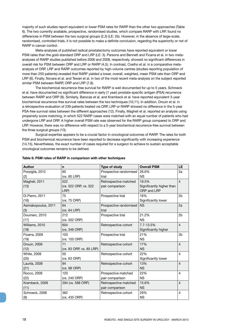majority of such studies report equivalent or lower PSM rates for RARP than the other two approaches (Table 6). The two currently available, prospective, randomised studies, which compare RARP with LRP, found no differences in PSM between the two surgical groups (2,3) (LE: 2b). However, in the absence of large-scale, randomised, controlled trials, it is not possible to make a definite conclusion, regarding the superiority or not of RARP in cancer control.

Meta-analyses of published radical prostatectomy outcomes have reported equivalent or lower PSM rates than the gold-standard ORP and LRP (LE: 3). Parsons and Bennett and Ficarra et al. in two metaanalyses of RARP studies published before 2006 and 2008, respectively, showed no significant differences in overall risk for PSM between ORP and LRP or RARP (4,5). In contrast, Coelho et al. in a comparative metaanalysis of ORP, LRP and RARP outcomes reported by high-volume centres (studies reporting population of more than 250 patients) revealed that RARP yielded a lower, overall, weighted, mean PSM rate than ORP and LRP (6). Finally, Novara et al. and Tewari et al. in two of the most recent meta-analysis on the subject reported similar PSM between RARP, ORP and LRP (7,8).

The biochemical recurrence-free survival for RARP is well documented for up to 5 years. Schroeck et al. have documented no significant difference in early (1 year) prostate-specific antigen (PSA) recurrence between RARP and ORP (9). Similarly, Barocas et al. and Krambeck et al. have reported equivalent 3-year biochemical recurrence-free survival rates between the two techniques (10,11). In addition, Drouin et al. in a retrospective evaluation of 239 patients treated via ORP, LRP or RARP showed no difference in the 5-year PSA-free survival rates between the different approaches (12). Finally, Magheli et al. reported an analysis using propensity score matching, in which 522 RARP cases were matched with an equal number of patients who had undergone LRP and ORP. A higher overall PSM rate was observed for the RARP group compared to ORP and LRP. However, there was no difference with respect to a 5-year biochemical recurrence-free survival between the three surgical groups (13).

Surgical expertise appears to be a crucial factor in oncological outcomes of RARP. The rates for both PSM and biochemical recurrence have been reported to decrease significantly with increasing experience (14,15). Nevertheless, the exact number of cases required for a surgeon to achieve to sustain acceptable oncological outcomes remains to be defined.

| <b>Author</b>       | n                        | Type of study          | <b>Overall PSM</b>        | <b>LE</b>      |
|---------------------|--------------------------|------------------------|---------------------------|----------------|
| Porpiglia, 2012     | 60                       | Prospective randomised | 26.6%                     | 2a             |
| (2)                 | (vs. 60 LRP)             | trial                  | <b>NS</b>                 |                |
| Magheli, 2011       | 522                      | Retrospective matched  | 19.5%                     | $\overline{4}$ |
| (13)                | (vs. 522 ORP, vs. 522    | pair comparison        | Significantly higher than |                |
|                     | LRP)                     |                        | ORP and LRP               |                |
| Di Pierro, 2011     | 75                       | Prospective trial      | 16%                       | 2 <sub>b</sub> |
| (16)                | (vs. 75 ORP)             |                        | Significantly lower       |                |
| Asimakopoulos, 2011 | 64                       | Prospective randomised | <b>NS</b>                 | 2a             |
| (3)                 | (vs. 64 LRP)             | trial                  |                           |                |
| Doumerc, 2010       | 212                      | Prospective trial      | 21.2%                     | 2 <sub>b</sub> |
| (17)                | (vs. 502 ORP)            |                        | <b>NS</b>                 |                |
| Williams, 2010      | 604                      | Retrospective cohort   | 7.7-13.5%                 | $\overline{4}$ |
| (18)                | (vs. 346 ORP)            |                        | Significantly higher      |                |
| Ficarra, 2009       | 103                      | Prospective trial      | 21%                       | 2b             |
| (19)                | (vs. 105 ORP)            |                        | <b>NS</b>                 |                |
| Drouin, 2009        | 71                       | Retrospective cohort   | 17%                       | $\overline{4}$ |
| (12)                | (vs. 83 ORP, vs. 85 LRP) |                        | <b>NS</b>                 |                |
| White, 2009         | 50                       | Retrospective cohort   | 22%                       | 4              |
| (20)                | (vs. 63 ORP)             |                        | Significantly lower       |                |
| Laurila, 2009       | 94                       | Retrospective cohort   | 13%                       | $\overline{4}$ |
| (21)                | (vs. 98 ORP)             |                        | <b>NS</b>                 |                |
| Rocco, 2009         | 120                      | Prospective matched    | 22%                       | 4              |
| (22)                | (vs. 240 ORP)            | pair comparison        | <b>NS</b>                 |                |
| Krambeck, 2009      | 294 (vs. 588 ORP)        | Retrospective matched  | 15.6%                     | $\overline{4}$ |
| (11)                |                          | pair comparison        | <b>NS</b>                 |                |
| Schroeck, 2008      | 362                      | Retrospective cohort   | 29%                       | 4              |
| (9)                 | (vs. 435 ORP)            |                        | <b>NS</b>                 |                |

#### **Table 6: PSM rates of RARP in comparison with other techniques**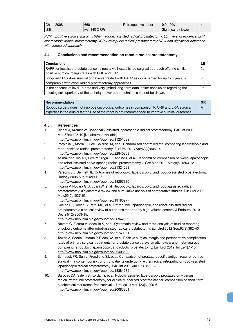| Chan, 2008 | 660           | Retrospective cohort | $19.9 - 19\%$       |  |
|------------|---------------|----------------------|---------------------|--|
| (23)       | (vs. 340 ORP) |                      | Significantly lower |  |

*PSM = positive surgical margin; RARP = robotic assisted radical prostatectomy; LE = level of evidence; LRP = laparoscopic radical prostatectomy;ORP = retropubic radical prostatectomy; NS = non-significant difference with compared approach.*

#### **4.4 Conclusions and recommendation on robotic radical prostatectomy**

| <b>Conclusions</b>                                                                               | LE |
|--------------------------------------------------------------------------------------------------|----|
| RARP for localised prostate cancer is now a well-established surgical approach offering similar  | 2a |
| positive surgical margin rates with ORP and LRP.                                                 |    |
| Long-term PSA-free survival of patients treated with RARP as documented for up to 5 years is     | 3  |
| comparable with other radical prostatectomy approaches.                                          |    |
| In the absence of level 1a data and very limited long-term data, a firm conclusion regarding the | 2a |
| oncological superiority of the technique over other techniques cannot be drawn.                  |    |

| Recommendation                                                                                     | <b>GR</b>    |
|----------------------------------------------------------------------------------------------------|--------------|
| Robotic surgery does not improve oncological outcomes in comparison to ORP and LRP; surgical       | $\mathsf{A}$ |
| expertise is the crucial factor. Use of the robot is not recommended to improve surgical outcomes. |              |

#### **4.5 References**

- 1. Binder J, Kramer W. Robotically-assisted laparoscopic radical prostatectomy. BJU Int 2001 Mar;87(4):408-10.[No abstract available]
- http://www.ncbi.nlm.nih.gov/pubmed/11251539 2. Porpiglia F, Morra I, Lucci Chiarissi M, et al. Randomised controlled trial comparing laparoscopic and
	- robot-assisted radical prostatectomy. Eur Urol 2013 Apr;63(4):606-14. http://www.ncbi.nlm.nih.gov/pubmed/22840353
- 3. Asimakopoulos AD, Pereira Fraga CT, Annino F, et al. Randomized comparison between laparoscopic and robot-assisted nerve-sparing radical prostatectomy. J Sex Med 2011 May;8(5):1503-12. http://www.ncbi.nlm.nih.gov/pubmed/21324093
- 4. Parsons JK, Bennett JL. Outcomes of retropubic, laparoscopic, and robotic-assisted prostatectomy. Urology 2008 Aug;72(2):412-6.
	- http://www.ncbi.nlm.nih.gov/pubmed/18267330
- 5. Ficarra V, Novara G, Artibani W, et al. Retropubic, laparoscopic, and robot-assisted radical prostatectomy: a systematic review and cumulative analysis of comparative studies. Eur Urol 2009 May;55(5):1037-63.
	- http://www.ncbi.nlm.nih.gov/pubmed/19185977
- 6. Coelho RF, Rocco B, Patel MB, et al. Retropubic, laparoscopic, and robot-assisted radical prostatectomy: a critical review of outcomes reported by high-volume centers. J Endourol 2010 Dec;24(12):2003-15.
	- http://www.ncbi.nlm.nih.gov/pubmed/20942686
- 7. Novara G, Ficarra V, Mocellin S, et al. Systematic review and meta-analysis of studies reporting oncologic outcome after robot-assisted radical prostatectomy. Eur Urol 2012 Sep;62(3):382-404. http://www.ncbi.nlm.nih.gov/pubmed/22749851
- 8. Tewari A, Sooriakumaran P, Bloch DA, et al. Positive surgical margin and perioperative complication rates of primary surgical treatments for prostate cancer: a systematic review and meta-analysis comparing retropubic, laparoscopic, and robotic prostatectomy. Eur Urol 2012 Jul;62(1):1-15. http://www.ncbi.nlm.nih.gov/pubmed/22405509
- 9. Schroeck FR, Sun L, Freedland SJ, et al. Comparison of prostate-specific antigen recurrence-free survival in a contemporary cohort of patients undergoing either radical retropubic or robot-assisted laparoscopic radical prostatectomy. BJU Int 2008 Jul;102(1):28-32. http://www.ncbi.nlm.nih.gov/pubmed/18384634
- 10. Barocas DA, Salem S, Kordan Y, et al. Robotic assisted laparoscopic prostatectomy versus radical retropubic prostatectomy for clinically localized prostate cancer: comparison of short-term biochemical recurrence-free survival. J Urol 2010 Mar;183(3):990-6. http://www.ncbi.nlm.nih.gov/pubmed/20083261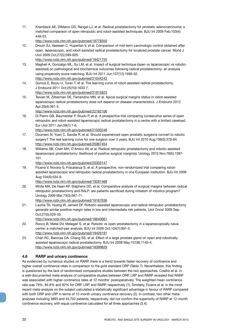11. Krambeck AE, DiMarco DS, Rangel LJ, et al. Radical prostatectomy for prostatic adenocarcinoma: a matched comparison of open retropubic and robot-assisted techniques. BJU Int 2009 Feb;103(4): 448-53.

http://www.ncbi.nlm.nih.gov/pubmed/18778350

12. Drouin SJ, Vaessen C, Hupertan V, et al. Comparison of mid-term carcinologic control obtained after open, laparoscopic, and robot-assisted radical prostatectomy for localized prostate cancer. World J Urol 2009 Oct;27(5):599-605.

http://www.ncbi.nlm.nih.gov/pubmed/19421755

- 13. Magheli A, Gonzalgo ML, Su LM, et al. Impact of surgical technique (open vs laparoscopic vs roboticassisted) on pathological and biochemical outcomes following radical prostatectomy: an analysis using propensity score matching. BJU Int 2011 Jun;107(12):1956-62. http://www.ncbi.nlm.nih.gov/pubmed/21044243
- 14. Gumus E, Boylu U, Turan T, et al. The learning curve of robot-assisted radical prostatectomy. J Endourol 2011 Oct;25(10):1633-7. http://www.ncbi.nlm.nih.gov/pubmed/21815823
- 15. Tsivian M, Zilberman DE, Ferrandino MN, et al. Apical surgical margins status in robot-assisted laparoscopic radical prostatectomy does not depend on disease characteristics. J Endourol 2012 Apr;26(4):361-5.

http://www.ncbi.nlm.nih.gov/pubmed/22192106

16. Di Pierro GB, Baumeister P, Stucki P, et al. A prospective trial comparing consecutive series of open retropubic and robot-assisted laparoscopic radical prostatectomy in a centre with a limited caseload. Eur Urol 2011 Jan;59(1):1-6.

http://www.ncbi.nlm.nih.gov/pubmed/21035248

- 17. Doumerc N, Yuen C, Savdie R, et al. Should experienced open prostatic surgeons convert to robotic surgery? The real learning curve for one surgeon over 3 years. BJU Int 2010 Aug;106(3):378-84. http://www.ncbi.nlm.nih.gov/pubmed/20067454
- 18. Williams SB, Chen MH, D'Amico AV, et al. Radical retropubic prostatectomy and robotic-assisted laparoscopic prostatectomy: likelihood of positive surgical margin(s). Urology 2010 Nov;76(5):1097- 101.

http://www.ncbi.nlm.nih.gov/pubmed/20303147

19. Ficarra V, Novara G, Fracalanza S, et al. A prospective, non-randomized trial comparing robotassisted laparoscopic and retropubic radical prostatectomy in one European institution. BJU Int 2009 Aug;104(4):534-9.

http://www.ncbi.nlm.nih.gov/pubmed/19281468

20. White MA, De Haan AP, Stephens DD, et al. Comparative analysis of surgical margins between radical retropubic prostatectomy and RALP: are patients sacrificed during initiation of robotics program? Urology 2009 Mar;73(3):567-71.

http://www.ncbi.nlm.nih.gov/pubmed/19167036

21. Laurila TA, Huang W, Jarrard DF. Robotic-assisted laparoscopic and radical retropubic prostatectomy generate similar positive margin rates in low and intermediate risk patients. Urol Oncol 2009 Sep-Oct;27(5):529-33.

http://www.ncbi.nlm.nih.gov/pubmed/18640061

- 22. Rocco B, Matei DV, Melegari S, et al. Robotic vs open prostatectomy in a laparoscopically naive centre: a matched-pair analysis. BJU Int 2009 Oct;104(7):991-5. http://www.ncbi.nlm.nih.gov/pubmed/19426191
- 23. Chan RC, Barocas DA, Chang SS, et al. Effect of a large prostate gland on open and robotically assisted laparoscopic radical prostatectomy. BJU Int 2008 May;101(9):1140-4. http://www.ncbi.nlm.nih.gov/pubmed/18399829

#### **4.6 RARP and urinary continence**

As evidenced by numerous studies on RARP, there is a trend towards faster recovery of continence and higher overall continence rates in comparison to the gold standard ORP (Table 7). Nevertheless, this finding is questioned by the lack of randomised comparative studies between the two approaches. Coelho et al. in a well-documented meta-analysis of comparative studies between ORP, LRP and RARP revealed that RARP was associated with higher continence rates at 12 months' postoperatively. The weighted mean continence rate was 79%, 84.8% and 92% for ORP, LRP, and RARP, respectively (1). Similarly, Ficarra et al. in the most recent meta-analysis on the subject calculated a statistically significant advantage in favour of RARP compared with both ORP and LRP in terms of 12-month urinary continence recovery (2). In contrast, two other metaanalyses including 3893 and 44,702 patients, respectively, did not confirm the superiority of RARP at 12-month continence recovery, with equal continence calculated for all three approaches (3,4).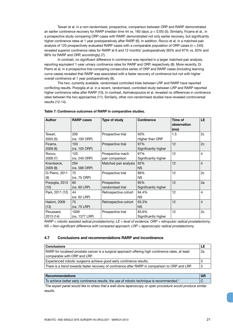Tewari et al. in a non-randomised, prospective, comparison between ORP and RARP demonstrated an earlier continence recovery for RARP (median time 44 vs. 160 days;  $p < 0.05$ ) (5). Similarly, Ficarra et al., in a prospective study comparing ORP cases with RARP, demonstrated not only earlier recovery, but significantly higher continence rates at 1 year postoperatively after RARP (6). In addition, Rocco et al. in a matched-pair analysis of 120 prospectively evaluated RARP cases with a comparable population of ORP cases (n = 240) revealed superior continence rates for RARP at 6 and 12 months' postoperatively (93% and 97% vs. 83% and 88% for RARP and ORP, accordingly) (7).

In contrast, no significant difference in continence was reported in a larger matched-pair analysis, reporting equivalent 1-year urinary continence rates for RARP and ORP, respectively (8). More recently, Di Pierro et al. in a prospective trial comparing consecutive series of ORP and RARP cases (including learning curve cases) revealed that RARP was associated with a faster recovery of continence but not with higher overall continence at 1 year postoperatively (9).

The two, currently available, randomised controlled trials between LRP and RARP have reported conflicting results. Porpiglia et al. in a recent, randomised, controlled study between LRP and RARP reported higher continence rates after RARP (10). In contrast, Asimakopoulos et al. revealed no differences in continence rates between the two approaches (11). Similarly, other non-randomised studies have revealed controversial results (12-14).

| <b>Author</b>   | <b>RARP cases</b> | Type of study         | <b>Continence</b>    | Time of<br>observation<br>(mo) | <b>LE</b>      |
|-----------------|-------------------|-----------------------|----------------------|--------------------------------|----------------|
| Tewari,         | 200               | Prospective trial     | 50%                  | 1.5                            | 2c             |
| 2003(5)         | (vs. 100 ORP)     |                       | Higher than ORP      |                                |                |
| Ficarra,        | 103               | Prospective trial     | 97%                  | 12                             | 2c             |
| 2009(6)         | (vs. 105 ORP)     |                       | Significantly higher |                                |                |
| Rocco,          | 120               | Prospective mach      | 97%                  | $12 \overline{ }$              | $\overline{4}$ |
| 2009 (7)        | (vs. 240 ORP)     | pair comparison       | Significantly higher |                                |                |
| Kramberck,      | 294               | Matched pair analysis | 92%                  | 12                             | $\overline{4}$ |
| 2009(8)         | (vs. 588 ORP)     |                       | NS.                  |                                |                |
| Di Pierro, 2011 | 75                | Prospective trial     | 89%                  | 12                             | 2c             |
| (9)             | (vs. 75 ORP)      |                       | NS.                  |                                |                |
| Porpiglia, 2013 | 60                | Prospective           | 95%                  | 12                             | 2a             |
| (10)            | (vs. 60 LRP)      | randomised trial      | Significantly higher |                                |                |
| Park, 2011 (12) | 44                | Retrospective cohort  | 94.4%                | 12                             | $\overline{4}$ |
|                 | (vs. 62 LRP)      |                       | <b>NS</b>            |                                |                |
| Hakimi, 2009    | 75                | Retrospective cohort  | 93.3%                | 12                             | $\overline{4}$ |
| (13)            | (vs. 75 LRP)      |                       | NS.                  |                                |                |
| Ploussard,      | 1009              | Prospective trial     | 83.6%                | 12                             | 2c             |
| 2013 (14)       | (vs. 1377 LRP)    |                       | Significantly higher |                                |                |

**Table 7: Continence outcomes of RARP in comparative studies.**

*RARP = robotic assisted radical prostatectomy; LE = level of evidence; ORP = retropubic radical prostatectomy; NS = Non-significant difference with compared approach; LRP = laparoscopic radical prostatectomy.*

#### **4.7 Conclusions and recommendations RARP and incontinence**

| <b>Conclusions</b>                                                                                 | LE |
|----------------------------------------------------------------------------------------------------|----|
| RARP for localised prostate cancer is a surgical approach offering high continence rates, at least | 2a |
| comparable with ORP and LRP.                                                                       |    |
| Experienced robotic surgeons achieve good early continence results.                                | 3  |
| There is a trend towards faster recovery of continence after RARP in comparison to ORP and LRP.    | 3  |

| Recommendations                                                                           |  |
|-------------------------------------------------------------------------------------------|--|
| To achieve better early continence results, the use of robotic technique is recommended.* |  |

*\*The expert panel would like to stress that a well-done laparoscopy or open procedure would produce similar results.*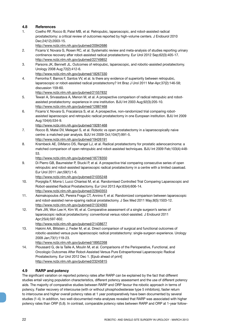#### **4.8 References**

1. Coelho RF, Rocco B, Patel MB, et al. Retropubic, laparoscopic, and robot-assisted radical prostatectomy: a critical review of outcomes reported by high-volume centers. J Endourol 2010 Dec;24(12):2003-15.

http://www.ncbi.nlm.nih.gov/pubmed/20942686

- 2. Ficarra V, Novara G, Rosen RC, et al. Systematic review and meta-analysis of studies reporting urinary continence recovery after robot-assisted radical prostatectomy. Eur Urol 2012 Sep;62(3):405-17. http://www.ncbi.nlm.nih.gov/pubmed/22749852
- 3. Parsons JK, Bennett JL. Outcomes of retropubic, laparoscopic, and robotic-assisted prostatectomy. Urology 2008 Aug;72(2):412-6.

http://www.ncbi.nlm.nih.gov/pubmed/18267330

4. Ferronha F, Barros F, Santos VV, et al. Is there any evidence of superiority between retropubic, laparoscopic or robot-assisted radical prostatectomy? Int Braz J Urol 2011 Mar-Apr;37(2):146-58; discussion 159-60.

http://www.ncbi.nlm.nih.gov/pubmed/21557832

- 5. Tewari A, Srivasatava A, Menon M, et al. A prospective comparison of radical retropubic and robotassisted prostatectomy: experience in one institution. BJU Int 2003 Aug;92(3):205-10. http://www.ncbi.nlm.nih.gov/pubmed/12887468
- 6. Ficarra V, Novara G, Fracalanza S, et al. A prospective, non-randomized trial comparing robotassisted laparoscopic and retropubic radical prostatectomy in one European institution. BJU Int 2009 Aug;104(4):534-9.

http://www.ncbi.nlm.nih.gov/pubmed/19281468

- 7. Rocco B, Matei DV, Melegari S, et al. Robotic vs open prostatectomy in a laparoscopically naive centre: a matched-pair analysis. BJU Int 2009 Oct;104(7):991-5. http://www.ncbi.nlm.nih.gov/pubmed/19426191
- 8. Krambeck AE, DiMarco DS, Rangel LJ, et al. Radical prostatectomy for prostatic adenocarcinoma: a matched comparison of open retropubic and robot-assisted techniques. BJU Int 2009 Feb;103(4):448- 53.

http://www.ncbi.nlm.nih.gov/pubmed/18778350

9. Di Pierro GB, Baumeister P, Stucki P, et al. A prospective trial comparing consecutive series of open retropubic and robot-assisted laparoscopic radical prostatectomy in a centre with a limited caseload. Eur Urol 2011 Jan;59(1):1-6.

http://www.ncbi.nlm.nih.gov/pubmed/21035248

- 10. Porpiglia F, Morra I, Lucci Chiarissi M, et al. Randomised Controlled Trial Comparing Laparoscopic and Robot-assisted Radical Prostatectomy. Eur Urol 2013 Apr;63(4):606-14. http://www.ncbi.nlm.nih.gov/pubmed/22840353
- 11. Asimakopoulos AD, Pereira Fraga CT, Annino F, et al. Randomized comparison between laparoscopic and robot-assisted nerve-sparing radical prostatectomy. J Sex Med 2011 May;8(5):1503-12. http://www.ncbi.nlm.nih.gov/pubmed/21324093
- 12. Park JW, Won Lee H, Kim W, et al. Comparative assessment of a single surgeon's series of laparoscopic radical prostatectomy: conventional versus robot-assisted. J Endourol 2011 Apr;25(4):597-602.

http://www.ncbi.nlm.nih.gov/pubmed/21438677

13. Hakimi AA, Blitstein J, Feder M, et al. Direct comparison of surgical and functional outcomes of robotic-assisted versus pure laparoscopic radical prostatectomy: single-surgeon experience. Urology 2009 Jan;73(1):119-23.

http://www.ncbi.nlm.nih.gov/pubmed/18952268

14. Ploussard G, de la Taille A, Moulin M, et al. Comparisons of the Perioperative, Functional, and Oncologic Outcomes After Robot-Assisted Versus Pure Extraperitoneal Laparoscopic Radical Prostatectomy. Eur Urol 2012 Dec 1. [Epub ahead of print] http://www.ncbi.nlm.nih.gov/pubmed/23245815

### **4.9 RARP and potency**

The significant variation on reported potency rates after RARP can be explained by the fact that different studies entail varying population characteristics, different potency assessment and the use of different potency aids. The majority of comparative studies between RARP and ORP favour the robotic approach in terms of potency. Faster recovery of intercourse (with or without phosphodiesterase type 5 inhibitors), faster return to intercourse and higher overall potency rates at 1 year postoperatively have been documented by several studies (1-4). In addition, two well-documented meta-analyses revealed that RARP was associated with higher potency rates than ORP (5,6). In contrast, comparable potency rates between RARP and ORP at 1-year follow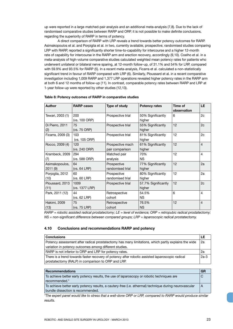up were reported in a large matched-pair analysis and an additional meta-analysis (7,8). Due to the lack of randomised comparative studies between RARP and ORP, it is not possible to make definite conclusions, regarding the superiority of RARP in terms of potency.

A direct comparison of RARP with LRP reveals a trend towards better potency outcomes for RARP. Asimakopoulos et al. and Porpiglia et al. in two, currently available, prospective, randomised studies comparing LRP with RARP, reported a significantly shorter time-to-capability for intercourse and a higher 12-month rate of capability for intercourse in the RARP arm and erection recovery, accordingly (9,10). Coelho et al. in a meta-analysis of high-volume comparative studies calculated weighted mean potency rates for patients who underwent unilateral or bilateral nerve sparing, at 12-month follow-up, of 31.1% and 54% for LRP, compared with 59.9% and 93.5% for RARP (5). In a recent meta-analysis, Ficarra et al. calculated a non-statistically significant trend in favour of RARP compared with LRP (6). Similarly, Ploussard et al. in a recent comparative investigation including 1,009 RARP and 1,377 LRP operations revealed higher potency rates in the RARP arm at both 6 and 12 months of follow-up (11). In contrast, comparable potency rates between RARP and LRP at 1-year follow-up were reported by other studies (12,13).

| <b>Author</b>              | <b>RARP cases</b>      | Type of study                       | <b>Potency rates</b>          | Time of<br>observation | LE.            |
|----------------------------|------------------------|-------------------------------------|-------------------------------|------------------------|----------------|
| Tewari, 2003 (1)           | 200<br>(vs. 100 ORP)   | Prospective trial                   | 50% Significantly<br>higher   | 6                      | 2c             |
| Di Pierro, 2011<br>(2)     | 75<br>(vs. 75 ORP)     | Prospective trial                   | 55% Significantly<br>higher   | 12                     | 2c             |
| Ficarra, 2009 (3)          | 103<br>(vs. 105 ORP)   | Prospective trial                   | 81% Significantly<br>higher   | 12                     | 2c             |
| Rocco, 2009 (4)            | 120<br>(vs. 240 ORP)   | Prospective mach<br>pair comparison | 61% Significantly<br>higher   | 12                     | $\overline{4}$ |
| Krambeck, 2009<br>(7)      | 294<br>(vs. 588 ORP)   | Matched pair<br>analysis            | 70%<br>NS.                    | 12                     | $\overline{4}$ |
| Asimakopoulos,<br>2011 (9) | 64<br>(vs. 64 LRP)     | Prospective<br>randomised trial     | 77% Significantly<br>higher   | 12                     | 2a             |
| Porpiglia, 2012<br>(10)    | 60<br>(vs. 60 LRP)     | Prospective<br>randomised trial     | 80% Significantly<br>higher   | 12                     | 2a             |
| Ploussard, 2013<br>(11)    | 1009<br>(vs. 1377 LRP) | Prospective trial                   | 57.7% Significantly<br>higher | 12                     | 2c             |
| Park, 2011 (12)            | 44<br>(vs. 62 LRP)     | Retrospective<br>cohort             | 54.5%<br>NS.                  | 6                      | 4              |
| Hakimi, 2009<br>(13)       | 75<br>(vs. 75 LRP)     | Retrospective<br>cohort             | 76.5%<br><b>NS</b>            | 12                     | $\overline{4}$ |

| Table 8: Potency outcomes of RARP in comparative studies |  |  |
|----------------------------------------------------------|--|--|
|                                                          |  |  |

*RARP = robotic assisted radical prostatectomy; LE = level of evidence; ORP = retropubic radical prostatectomy; NS = non-significant difference between compared groups; LRP = laparoscopic radical prostatectomy.*

#### **4.10 Conclusions and recommendations RARP and potency**

| <b>Conclusions</b>                                                                                  | LE     |
|-----------------------------------------------------------------------------------------------------|--------|
| Potency assessment after radical prostatectomy has many limitations, which partly explains the wide | 2a     |
| variation in potency outcomes among different studies.                                              |        |
| RARP is not inferior to ORP and LRP for potency rates.                                              | 2a     |
| There is a trend towards faster recovery of potency after robotic assisted laparoscopic radical     | $2a-3$ |
| prostatectomy (RALP) in comparison to ORP and LRP.                                                  |        |
|                                                                                                     |        |

| <b>Recommendations</b>                                                                                 | GR |
|--------------------------------------------------------------------------------------------------------|----|
| To achieve better early potency results, the use of laparoscopy or robotic techniques are              |    |
| recommended.*                                                                                          |    |
| To achieve better early potency results, a cautery-free (i.e. athermal) technique during neurovascular | A  |
| bundle dissection is recommended.                                                                      |    |

*\*The expert panel would like to stress that a well-done ORP or LRP, compared to RARP would produce similar results.*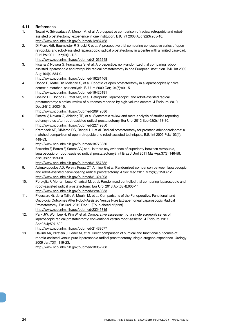#### **4.11 References**

- 1. Tewari A, Srivasatava A, Menon M, et al. A prospective comparison of radical retropubic and robotassisted prostatectomy: experience in one institution. BJU Int 2003 Aug;92(3):205-10. http://www.ncbi.nlm.nih.gov/pubmed/12887468
- 2. Di Pierro GB, Baumeister P, Stucki P, et al. A prospective trial comparing consecutive series of open retropubic and robot-assisted laparoscopic radical prostatectomy in a centre with a limited caseload. Eur Urol 2011 Jan;59(1):1-6.

http://www.ncbi.nlm.nih.gov/pubmed/21035248

3. Ficarra V, Novara G, Fracalanza S, et al. A prospective, non-randomized trial comparing robotassisted laparoscopic and retropubic radical prostatectomy in one European institution. BJU Int 2009 Aug;104(4):534-9.

http://www.ncbi.nlm.nih.gov/pubmed/19281468

- 4. Rocco B, Matei DV, Melegari S, et al. Robotic vs open prostatectomy in a laparoscopically naive centre: a matched-pair analysis. BJU Int 2009 Oct;104(7):991-5. http://www.ncbi.nlm.nih.gov/pubmed/19426191
- 5. Coelho RF, Rocco B, Patel MB, et al. Retropubic, laparoscopic, and robot-assisted radical prostatectomy: a critical review of outcomes reported by high-volume centers. J Endourol 2010 Dec;24(12):2003-15.

http://www.ncbi.nlm.nih.gov/pubmed/20942686

- 6. Ficarra V, Novara G, Ahlering TE, et al. Systematic review and meta-analysis of studies reporting potency rates after robot-assisted radical prostatectomy. Eur Urol 2012 Sep;62(3):418-30. http://www.ncbi.nlm.nih.gov/pubmed/22749850
- 7. Krambeck AE, DiMarco DS, Rangel LJ, et al. Radical prostatectomy for prostatic adenocarcinoma: a matched comparison of open retropubic and robot-assisted techniques. BJU Int 2009 Feb;103(4): 448-53.

http://www.ncbi.nlm.nih.gov/pubmed/18778350

8. Ferronha F, Barros F, Santos VV, et al. Is there any evidence of superiority between retropubic, laparoscopic or robot-assisted radical prostatectomy? Int Braz J Urol 2011 Mar-Apr;37(2):146-58; discussion 159-60.

http://www.ncbi.nlm.nih.gov/pubmed/21557832

- 9. Asimakopoulos AD, Pereira Fraga CT, Annino F, et al. Randomized comparison between laparoscopic and robot-assisted nerve-sparing radical prostatectomy. J Sex Med 2011 May;8(5):1503-12. http://www.ncbi.nlm.nih.gov/pubmed/21324093
- 10. Porpiglia F, Morra I, Lucci Chiarissi M, et al. Randomised controlled trial comparing laparoscopic and robot-assisted radical prostatectomy. Eur Urol 2013 Apr;63(4):606-14. http://www.ncbi.nlm.nih.gov/pubmed/22840353
- 11. Ploussard G, de la Taille A, Moulin M, et al. Comparisons of the Perioperative, Functional, and Oncologic Outcomes After Robot-Assisted Versus Pure Extraperitoneal Laparoscopic Radical Prostatectomy. Eur Urol. 2012 Dec 1. [Epub ahead of print] http://www.ncbi.nlm.nih.gov/pubmed/23245815
- 12. Park JW, Won Lee H, Kim W, et al. Comparative assessment of a single surgeon's series of laparoscopic radical prostatectomy: conventional versus robot-assisted. J Endourol 2011 Apr;25(4):597-602.

http://www.ncbi.nlm.nih.gov/pubmed/21438677

13. Hakimi AA, Blitstein J, Feder M, et al. Direct comparison of surgical and functional outcomes of robotic-assisted versus pure laparoscopic radical prostatectomy: single-surgeon experience. Urology 2009 Jan;73(1):119-23.

http://www.ncbi.nlm.nih.gov/pubmed/18952268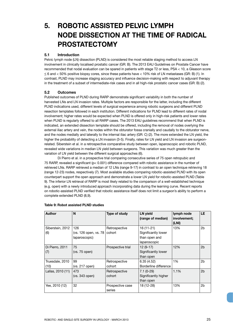## **5. ROBOTIC ASSISTED PELVIC LYMPH NODE DISSECTION AT THE TIME OF RADICAL PROSTATECTOMY**

#### **5.1 Introduction**

Pelvic lymph node (LN) dissection (PLND) is considered the most reliable staging method to access LN involvement in clinically localised prostatic cancer (GR: B). The 2013 EAU Guidelines on Prostate Cancer have recommended that nodal evaluation can be spared in patients with stage T2 or less, PSA < 10, a Gleason score  $\leq$  6 and  $<$  50% positive biopsy cores, since these patients have  $<$  10% risk of LN metastases (GR: B) (1). In contrast, PLND may increase staging accuracy and influence decision-making with respect to adjuvant therapy in the treatment of a subset of intermediate-risk cases and in all high-risk prostatic cancer cases (GR: B) (2).

#### **5.2 Outcomes**

Published outcomes of PLND during RARP demonstrate significant variability in both the number of harvested LNs and LN invasion rates. Multiple factors are responsible for the latter, including the different PLND indications used, different levels of surgical experience among robotic surgeons and different PLND resection templates followed in each institution. Different indications for PLND lead to different rates of nodal involvement; higher rates would be expected when PLND is offered only in high-risk patients and lower rates when PLND is regularly offered to all RARP cases. The 2013 EAU guidelines recommend that when PLND is indicated, an extended dissection template should be offered, including the removal of nodes overlying the external iliac artery and vein, the nodes within the obturator fossa cranially and caudally to the obturator nerve, and the nodes medially and laterally to the internal iliac artery (GR: C) (2). The more extended the LN yield, the higher the probability of detecting a LN invasion (3-5). Finally, rates for LN yield and LN invasion are surgeonrelated. Siberstein et al. in a retrospective comparative study between open, laparoscopic and robotic PLND, revealed wide variations in median LN yield between surgeons. This variation was much greater than the variation of LN yield between the different surgical approaches (6).

Di Pierro et al. in a prospective trial comparing consecutive series of 75 open retropubic and 75 RARP, revealed a significant (p< 0.001) difference compared with robotic assistance in the number of retrieved LNs. RARP retrieved a median of 12 LNs (range 9-17) in contrast to an open technique retrieving 18 (range 12-23) nodes, respectively (7). Most available studies comparing robotic-assisted PLND with its open counterpart support the open approach and demonstrate a lower LN yield for robotic-assisted PLND (Table 9). The inferior LN retrieval of RARP is most likely related to the comparison of a well-established technique (e.g. open) with a newly introduced approach incorporating data during the learning curve. Recent reports on robotic-assisted PLND verified that robotic assistance itself does not limit a surgeon's ability to perform a complete extended PLND (8,9).

| Author            | N                                | Type of study     | <b>LN</b> yield<br>(range of median) | lymph node<br>involvement;<br>(LNI) | <b>LE</b>      |
|-------------------|----------------------------------|-------------------|--------------------------------------|-------------------------------------|----------------|
| Siberstein, 2012  | 126                              | Retrospective     | $16(11-21)$                          | 13%                                 | 2b             |
| (6)               | (vs. 126 open, vs. 78 $ $ cohort |                   | Significantly lower                  |                                     |                |
|                   | laparoscopic)                    |                   | than open and                        |                                     |                |
|                   |                                  |                   | laparoscopic                         |                                     |                |
| Di Pierro, 2011   | 75                               | Prospective trial | $12(9-17)$                           | 12%                                 | 2 <sub>b</sub> |
| (7)               | (vs. 75 open)                    |                   | Significantly lower                  |                                     |                |
|                   |                                  |                   | than open                            |                                     |                |
| Truesdale, 2010   | 99                               | Retrospective     | 6.35(4.52)                           | 1%                                  | 2b             |
| (10)              | (vs. 217 open)                   | cohort            | Borderline difference                |                                     |                |
| Lallas, 2010 (11) | 473                              | Retrospective     | $7.1(0-29)$                          | 1.1%                                | 2 <sub>b</sub> |
|                   | $(vs. 343$ open $)$              | cohort            | Significantly higher                 |                                     |                |
|                   |                                  |                   | than open                            |                                     |                |
| Yee, 2010 (12)    | 32                               | Prospective case  | 18 (12-28)                           | 13%                                 | 2b             |
|                   |                                  | series            |                                      |                                     |                |

#### **Table 9: Robot assisted PLND studies**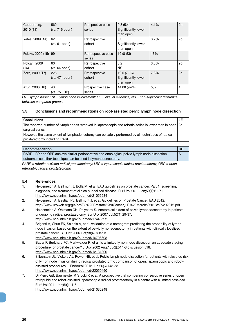| Cooperberg,<br>2010 (13) | 562<br>$(vs. 716$ open $)$ | Prospective case<br>series   | 9.3(5.4)<br>Significantly lower<br>than open     | 4.1% | 2 <sub>b</sub> |
|--------------------------|----------------------------|------------------------------|--------------------------------------------------|------|----------------|
| Yates, 2009 (14)         | 62<br>(vs. 61 open)        | Retrospective<br>cohort      | 3.3<br>Significantly lower<br>than open          | 3.2% | 2b             |
| Feicke, 2009 (15)        | 99                         | Retrospective case<br>series | $19(8-53)$                                       | 16%  | $\overline{4}$ |
| Polcari, 2009<br>(16)    | 60<br>(vs. 64 open)        | Retrospective<br>cohort      | 8.2<br>NS.                                       | 3.3% | 2b             |
| Zorn, 2009 (17)          | 226<br>(vs. 471 open)      | Retrospective<br>cohort      | $12.5(7-16)$<br>Significantly lower<br>than open | 7.8% | 2 <sub>b</sub> |
| Atug, 2006 (18)          | 40<br>(vs. 75 LRP)         | Prospective case<br>series   | 14.08 (9-24)                                     | 5%   | $\overline{4}$ |

*LN = lymph node; LNI = lymph node involvement; LE = level of evidence; NS = non-significant difference between compared groups.*

#### **5.3 Conclusions and recommendations on root-assisted pelvic lymph node dissection**

| <b>Conclusions</b>                                                                                     |  |
|--------------------------------------------------------------------------------------------------------|--|
| The reported number of lymph nodes removed in laparoscopic and robotic series is lower than in open 2a |  |
| surgical series.                                                                                       |  |
| However, the same extent of lymphadenectomy can be safely performed by all techniques of radical       |  |
| prostatectomy including RARP.                                                                          |  |

#### **Recommendation GR**

| RARP, LRP and ORP achieve similar perioperative and oncological pelvic lymph node dissection |  |
|----------------------------------------------------------------------------------------------|--|
| outcomes so either technique can be used in lymphadenectomy.                                 |  |

*RARP = robotic-assisted radical prostatectomy; LRP = laparoscopic radical prostatectomy; ORP = open retropubic radical prostatectomy.*

#### **5.4 References**

- 1. Heidenreich A, Bellmunt J, Bolla M, et al. EAU guidelines on prostate cancer. Part 1: screening, diagnosis, and treatment of clinically localised disease. Eur Urol 2011 Jan;59(1):61-71. http://www.ncbi.nlm.nih.gov/pubmed/21056534
- 2. Heidenreich A, Bastian PJ, Bellmunt J, et al. Guidelines on Prostate Cancer. EAU 2012. http://www.uroweb.org/gls/pdf/08%20Prostate%20Cancer\_LR%20March%2013th%202012.pdf
- 3. Heidenreich A, Ohlmann CH, Polyakov S. Anatomical extent of pelvic lymphadenectomy in patients undergoing radical prostatectomy. Eur Urol 2007 Jul;52(1):29-37. http://www.ncbi.nlm.nih.gov/pubmed/17448592
- 4. Briganti A, Chun FK, Salonia A, et al. Validation of a nomogram predicting the probability of lymph node invasion based on the extent of pelvic lymphadenectomy in patients with clinically localized prostate cancer. BJU Int 2006 Oct;98(4):788-93. http://www.ncbi.nlm.nih.gov/pubmed/16796698
- 5. Bader P, Burkhard FC, Markwalder R, et al. Is a limited lymph node dissection an adequate staging procedure for prostate cancer? J Urol 2002 Aug;168(2):514-8;discussion 518. http://www.ncbi.nlm.nih.gov/pubmed/12131300
- 6. Silberstein JL, Vickers AJ, Power NE, et al. Pelvic lymph node dissection for patients with elevated risk of lymph node invasion during radical prostatectomy: comparison of open, laparoscopic and robotassisted procedures. J Endourol 2012 Jun;26(6):748-53. http://www.ncbi.nlm.nih.gov/pubmed/22050490
- 7. Di Pierro GB, Baumeister P, Stucki P, et al. A prospective trial comparing consecutive series of open retropubic and robot-assisted laparoscopic radical prostatectomy in a centre with a limited caseload. Eur Urol 2011 Jan;59(1):1-6. http://www.ncbi.nlm.nih.gov/pubmed/21035248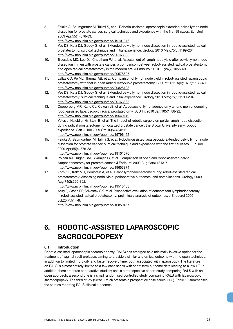8. Feicke A, Baumgartner M, Talimi S, et al. Robotic-assisted laparoscopic extended pelvic lymph node dissection for prostate cancer: surgical technique and experience with the first 99 cases. Eur Urol 2009 Apr;55(4):876-83.

http://www.ncbi.nlm.nih.gov/pubmed/19101076

- 9. Yee DS, Katz DJ, Godoy G, et al. Extended pelvic lymph node dissection in robotic-assisted radical prostatectomy: surgical technique and initial experience. Urology 2010 May;75(5):1199-204. http://www.ncbi.nlm.nih.gov/pubmed/20163838
- 10. Truesdale MD, Lee DJ, Cheetham PJ, et al. Assessment of lymph node yield after pelvic lymph node dissection in men with prostate cancer: a comparison between robot-assisted radical prostatectomy and open radical prostatectomy in the modern era. J Endourol 2010 Jul;24(7):1055-60. http://www.ncbi.nlm.nih.gov/pubmed/20575697
- 11. Lallas CD, Pe ML, Thumar AB, et al. Comparison of lymph node yield in robot-assisted laparoscopic prostatectomy with that in open radical retropubic prostatectomy. BJU Int 2011 Apr;107(7):1136-40. http://www.ncbi.nlm.nih.gov/pubmed/20825403
- 12. Yee DS, Katz DJ, Godoy G, et al. Extended pelvic lymph node dissection in robotic-assisted radical prostatectomy: surgical technique and initial experience. Urology 2010 May;75(5):1199-204. http://www.ncbi.nlm.nih.gov/pubmed/20163838
- 13. Cooperberg MR, Kane CJ, Cowan JE, et al. Adequacy of lymphadenectomy among men undergoing robot-assisted laparoscopic radical prostatectomy. BJU Int 2010 Jan;105(1):88-92. http://www.ncbi.nlm.nih.gov/pubmed/19549119
- 14. Yates J, Haleblian G, Stein B, et al. The impact of robotic surgery on pelvic lymph node dissection during radical prostatectomy for localized prostate cancer: the Brown University early robotic experience. Can J Urol 2009 Oct;16(5):4842-6. http://www.ncbi.nlm.nih.gov/pubmed/19796462
- 15. Feicke A, Baumgartner M, Talimi S, et al. Robotic-assisted laparoscopic extended pelvic lymph node dissection for prostate cancer: surgical technique and experience with the first 99 cases. Eur Urol 2009 Apr;55(4):876-83.
	- http://www.ncbi.nlm.nih.gov/pubmed/19101076
- 16. Polcari AJ, Hugen CM, Sivarajan G, et al. Comparison of open and robot-assisted pelvic lymphadenectomy for prostate cancer. J Endourol 2009 Aug;23(8):1313-7. http://www.ncbi.nlm.nih.gov/pubmed/19653874
- 17. Zorn KC, Katz MH, Bernstein A, et al. Pelvic lymphadenectomy during robot-assisted radical prostatectomy: Assessing nodal yield, perioperative outcomes, and complications. Urology 2009 Aug;74(2):296-302.
	- http://www.ncbi.nlm.nih.gov/pubmed/19515403
- 18. Atug F, Castle EP, Srivastav SK, et al. Prospective evaluation of concomitant lymphadenectomy in robot-assisted radical prostatectomy: preliminary analysis of outcomes. J Endourol 2006 Jul;20(7):514-8.

http://www.ncbi.nlm.nih.gov/pubmed/16859467

## **6. ROBOTIC-ASSISTED LAPAROSCOPIC SACROCOLPOPEXY**

#### **6.1 Introduction**

Robotic-assisted laparoscopic sacrocolpopexy (RALS) has emerged as a minimally invasive option for the treatment of vaginal vault prolapse, aiming to provide a similar anatomical outcome with the open technique, in addition to limited morbidity and faster recovery time, both associated with laparoscopy. The literature on RALS is almost entirely limited to a few case series with short-term outcome data leading to a low LE. In addition, there are three comparative studies; one is a retrospective cohort study comparing RALS with an open approach, a second one is a small randomised controlled study comparing RALS with laparoscopic sacrocolpopexy. The third study (Seror J et al) presents a prospectice case series. (1-3). Table 10 summarises the studies reporting RALS clinical outcomes.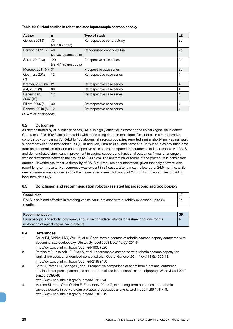#### **Table 10: Clinical studies in robot-assisted laparoscopic sacrocolpopexy**

| <b>Author</b>     | n                     | Type of study               | <b>LE</b>      |
|-------------------|-----------------------|-----------------------------|----------------|
| Geller, 2008 (1)  | 73                    | Retrospective cohort study  | 2b             |
|                   | $(vs. 105$ open $)$   |                             |                |
| Paraiso, 2011 (2) | 40                    | Randomised controlled trial | 2 <sub>b</sub> |
|                   | (vs. 38 laparoscopic) |                             |                |
| Seror, 2012 (3)   | 20                    | Prospective case series     | 2c             |
|                   | (vs. 47 laparoscopic) |                             |                |
| Moreno, 2011 (4)  | 31                    | Prospective case series     | 2c             |
| Gocmen, 2012      | 12                    | Retrospective case series   | 4              |
| (7)               |                       |                             |                |
| Kramer, 2009 (6)  | 21                    | Retrospective case series   | $\overline{4}$ |
| Akl, 2009 (9)     | 80                    | Retrospective case series   | 4              |
| Daneshgari,       | 12                    | Retrospective case series   | 4              |
| 2007 (10)         |                       |                             |                |
| Elliott, 2006 (5) | 30                    | Retrospective case series   | 4              |
| Benson, 2010 (8)  | 12                    | Retrospective case series   | 4              |

*LE = level of evidence.*

#### **6.2 Outcomes**

As demonstrated by all published series, RALS is highly effective in restoring the apical vaginal vault defect. Cure rates of 95-100% are comparable with those using an open technique. Geller et al. in a retrospective cohort study comparing 73 RALS to 105 abdominal sacrocolpopexies, reported similar short-term vaginal vault support between the two techniques (1). In addition, Paraiso et al. and Seror et al. in two studies providing data from one randomised trial and one prospective case series, compared the outcomes of laparoscopic vs. RALS and demonstrated significant improvement in vaginal support and functional outcomes 1 year after surgery with no differences between the groups (2,3) (LE: 2b). The anatomical outcome of the procedure is considered durable. Nevertheless, the true durability of RALS still requires documentation, given that only a few studies report long-term results. No recurrence was evident in 31 cases, after a mean follow-up of 24.5 months, while one recurrence was reported in 30 other cases after a mean follow-up of 24 months in two studies providing long-term data (4,5).

#### **6.3 Conclusion and recommendation robotic-assisted laparoscopic sacrocolpopexy**

| ∣ Conclusion                                                                                      |    |
|---------------------------------------------------------------------------------------------------|----|
| RALS is safe and effective in restoring vaginal vault prolapse with durability evidenced up to 24 | 2b |
| ≀ months.                                                                                         |    |

| Recommendation                                                                             | <b>GR</b> |
|--------------------------------------------------------------------------------------------|-----------|
| Laparoscopic and robotic colpopexy should be considered standard treatment options for the |           |
| restoration of apical vaginal vault defects.                                               |           |

#### **6.4 References**

- 1. Geller EJ, Siddiqui NY, Wu JM, et al. Short-term outcomes of robotic sacrocolpopexy compared with abdominal sacrocolpopexy. Obstet Gynecol 2008 Dec;112(6):1201-6. http://www.ncbi.nlm.nih.gov/pubmed/19037026
- 2. Paraiso MF, Jelovsek JE, Frick A, et al. Laparoscopic compared with robotic sacrocolpopexy for vaginal prolapse: a randomized controlled trial. Obstet Gynecol 2011 Nov;118(5):1005-13. http://www.ncbi.nlm.nih.gov/pubmed/21979458
- 3. Seror J, Yates DR, Seringe E, et al. Prospective comparison of short-term functional outcomes obtained after pure laparoscopic and robot-assisted laparoscopic sacrocolpopexy. World J Urol 2012 Jun;30(3):393-8. http://www.ncbi.nlm.nih.gov/pubmed/21858540
- 4. Moreno Sierra J, Ortiz Oshiro E, Fernandez Pérez C, et al. Long-term outcomes after robotic sacrocolpopexy in pelvic organ prolapse: prospective analysis. Urol Int 2011;86(4):414-8. http://www.ncbi.nlm.nih.gov/pubmed/21346319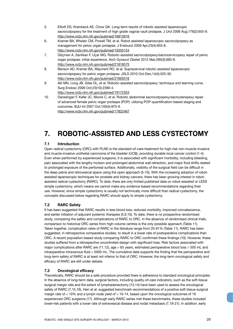- 5. Elliott DS, Krambeck AE, Chow GK. Long-term results of robotic assisted laparoscopic sacrocolpopexy for the treatment of high grade vaginal vault prolapse. J Urol 2006 Aug;176(2):655-9. http://www.ncbi.nlm.nih.gov/pubmed/16813916
- 6. Kramer BA, Whelan CM, Powell TM, et al. Robot-assisted laparoscopic sacrocolpopexy as management for pelvic organ prolapse. J Endourol 2009 Apr;23(4):655-8. http://www.ncbi.nlm.nih.gov/pubmed/19335154
- 7. Göçmen A, Sanlıkan F, Uçar MG. Robotic-assisted sacrocolpopexy/sacrocervicopexy repair of pelvic organ prolapse: initial experience. Arch Gynecol Obstet 2012 Mar;285(3):683-8. http://www.ncbi.nlm.nih.gov/pubmed/21818575
- 8. Benson AD, Kramer BA, Wayment RO, et al. Supracervical robotic-assisted laparoscopic sacrocolpopexy for pelvic organ prolapse. JSLS 2010 Oct-Dec;14(4):525-30. http://www.ncbi.nlm.nih.gov/pubmed/21605516
- 9. Akl MN, Long JB, Giles DL, et al. Robotic-assisted sacrocolpopexy: technique and learning curve. Surg Endosc 2009 Oct;23(10):2390-4. http://www.ncbi.nlm.nih.gov/pubmed/19172354
- 10. Daneshgari F, Kefer JC, Moore C, et al. Robotic abdominal sacrocolpopexy/sacrouteropexy repair of advanced female pelvic organ prolaspe (POP): utilizing POP-quantification-based staging and outcomes. BJU Int 2007 Oct;100(4):875-9. http://www.ncbi.nlm.nih.gov/pubmed/17822467

## **7. ROBOTIC-ASSISTED AND LESS CYSTECTOMY**

#### **7.1 Introduction**

Open radical cystectomy (ORC) with PLND is the standard-of-care treatment for high-risk non-muscle-invasive and muscle-invasive urothelial carcinoma of the bladder (UCB), providing durable local cancer control (1-4). Even when performed by experienced surgeons, it is associated with significant morbidity, including bleeding, pain associated with the lengthy incision and prolonged abdominal wall retraction, and major fluid shifts related to prolonged exposure of the peritoneal surface. Additionally, visibility of the surgical field can be difficult in the deep pelvis and retrovesical space using the open approach (5-10). With the increasing adoption of robotassisted laparoscopic techniques for prostate and kidney cancers, there has been growing interest in robotassisted radical cystectomy (RARC). To date, there are only limited published data on robot-assisted or LESS simple cystectomy, which means we cannot make any evidence-based recommendations regarding their use. However, since simple cystectomy is usually not technically more difficult than radical cystectomy, the concepts discussed below regarding RARC should apply to simple cystectomy.

#### **7.2 RARC Safety**

It has been suggested that RARC results in less blood loss, reduced morbidity, improved convalescence, and earlier initiation of adjuvant systemic therapies (5,9,10). To date, there is no prospective randomised study, comparing the safety and complications of RARC to ORC. In the absence of randomised clinical trials, comparison to historical ORC series from high-volume centres is the only possible approach (Table 11). Taken together, complication rates of RARC in the literature range from 20-91% (Table 11). RARC has been suggested, in retrospective comparative studies, to result in a lower rate of postoperative complications than ORC. A recent population-based study comparing RARC to ORC confirmed these findings (10). However, these studies suffered from a retrospective uncontrolled design with significant bias. Risk factors associated with major complications after RARC are (11,12), age > 65 years, estimated perioperative blood loss > 500 mL and intraoperative intravenous fluid > 5000 mL. The cumulative data supports the finding that the perioperative and long-term safety of RARC is at least not inferior to that of ORC. However, the long-term oncological safety and efficacy of RARC are still under debate.

#### **7.3 Oncological efficacy**

Theoretically, RARC should be a safe procedure provided there is adherence to standard oncological principles. In the absence of long-term data, surgical factors, including quality-of-care indicators, such as the soft-tissue surgical margin rate and the extent of lymphadenectomy (13,14) have been used to assess the oncological safety of RARC (7,15,16). Herr et al. suggested benchmark recommendations of a positive soft-tissue surgical margin rate of < 10% and a lymph node yield of > 10-14, based upon the oncological outcomes of 16 experienced ORC surgeons (17). Although early RARC series met these benchmarks, these studies included lower-risk patients with a lower rate of extravesical disease and nodal metastasis (7,18-21). In addition, early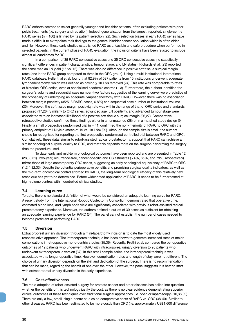RARC cohorts seemed to select generally younger and healthier patients, often excluding patients with prior pelvic treatments (i.e. surgery and radiation). Indeed, generalisation from the largest, reported, single-centre RARC series (n = 100) is limited by its patient selection (22). Such selection biases in early RARC series have made it difficult to extrapolate their findings to the general bladder cancer population which is often older and iller. However, these early studies established RARC as a feasible and safe procedure when performed in selected patients. In the current phase of RARC evaluation, the inclusion criteria have been relaxed to include almost all candidates for RC.

In a comparison of 35 RARC consecutive cases and 35 ORC consecutive cases (no statistically significant differences in patient characteristics, tumour stage, and LN status), Richards et al. (23) reported the same median LN yield (15 vs. 16). There was also no difference in positive soft tissue surgical margin rates (one in the RARC group compared to three in the ORC group). Using a multi-institutional international RARC database, Hellenthal et al. found that 82.9% of 527 patients from 15 institutions underwent adequate lymphadenectomy, which was defined as having  $\geq$  10 LNs removed (24). This rate was comparable to rates of historical ORC series, even at specialised academic centres (1-3). Furthermore, the authors identified the surgeon's volume and sequential case number (two factors suggestive of the learning curve) were predictive of the probability of undergoing an adequate lymphadenectomy with RARC. However, there was no association between margin positivity (35/513 RARC cases, 6.8%) and sequential case number or institutional volume (25). Moreover, the soft tissue margin positivity rate was within the range of that of ORC series and standards proposed (17,26). Similarly to ORC series, advanced age, LN positivity, and advanced tumour stage were associated with an increased likelihood of a positive soft tissue surgical margin (26,27). Comparative retrospective studies confirmed these findings either in an unmatched (28) or in a matched study design (9). Finally, a small prospective randomised trial ( $n = 41$ ) confirmed the non-inferiority of RARC to ORC with the primary endpoint of LN yield (mean of 19 vs. 18 LNs) (29). Although the sample size is small, the authors should be recognised for reporting the first prospective randomised controlled trial between RARC and ORC. Cumulatively, these data, similar to robot-assisted radical prostatectomy, support that RARC can achieve a similar oncological surgical quality to ORC, and that this depends more on the surgeon performing the surgery than the procedure used.

To date, early and mid-term oncological outcomes have been reported and are presented in Table 12 (28,30,31). Two-year, recurrence-free, cancer-specific and OS estimates ( 74%, 85%, and 79%, respectively) mirror those of large contemporary ORC series, suggesting an early oncological equivalency of RARC to ORC (1,2,4,32,33). Despite the potential perioperative benefits and promising surgical quality indicators, as well as the mid-term oncological control afforded by RARC, the long-term oncological efficacy of this relatively new technique has yet to be determined. Before widespread application of RARC, it needs to be further tested at high-volume centres within controlled clinical studies.

#### **7.4 Learning curve**

To date, there is no standard definition of what would be considered an adequate learning curve for RARC. A recent study from the International Robotic Cystectomy Consortium demonstrated that operative time, estimated blood loss, and lymph node yield are significantly associated with previous robot-assisted radical prostatectomy experience. Moreover, the authors defined a cut-off of 30 cases as sufficient for obtaining an adequate learning experience for RARC (34). The panel cannot establish the number of cases needed to become proficient at performing RARC.

#### **7.5 Diversion**

Extracorporeal urinary diversion through a mini-laparotomy incision is to date the most widely used reconstructive approach. The intracorporeal technique has been shown to generate increased rates of major complications in retrospective mono-centric studies (35,36). Recently, Pruthi et al. compared the perioperative outcomes of 12 patients who underwent RARC with intracorporeal urinary diversion to 20 patients who underwent extracorporeal diversion (37). In this small sample series, the intracorporeal technique was associated with a longer operative time. However, complication rates and length of stay were not different. The choice of urinary diversion depends on the skill and dedication of the surgeon. There is no recommendation that can be made, regarding the benefit of one over the other. However, the panel suggests it is best to start with extracorporeal urinary diversion in the early experience.

#### **7.6 Cost-effectiveness**

The rapid adoption of robot-assisted surgery for prostate cancer and other diseases has called into question whether the benefits of this technology justify the cost, as there is no clear evidence demonstrating superior clinical outcomes of these techniques over traditional surgical approaches (i.e. open or laparoscopy) (10,38,39). There are only a few, small, single-centre studies on comparative costs of RARC vs. ORC (38-40). Similar to other diseases, RARC has been estimated to be more costly than ORC (i.e. approximately US\$1,600 difference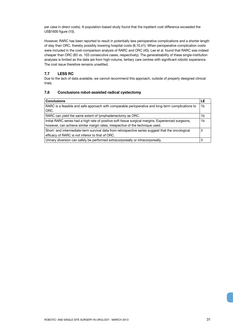per case in direct costs). A population-based study found that the inpatient cost difference exceeded the US\$1600 figure (10).

However, RARC has been reported to result in potentially less perioperative complications and a shorter length of stay than ORC, thereby possibly lowering hospital costs (8,10,41). When perioperative complication costs were included in the cost-comparison analysis of RARC and ORC (40), Lee et al. found that RARC was indeed cheaper than ORC (83 vs. 103 consecutive cases, respectively). The generalisability of these single-institution analyses is limited as the data are from high-volume, tertiary care centres with significant robotic experience. The cost issue therefore remains unsettled.

#### **7.7 LESS RC**

Due to the lack of data available, we cannot recommend this approach, outside of properly designed clinical trials.

#### **7.8 Conclusions robot-assisted radical cystectomy**

| <b>Conclusions</b>                                                                                  |    |
|-----------------------------------------------------------------------------------------------------|----|
| RARC is a feasible and safe approach with comparable perioperative and long-term complications to   | 1b |
| ORC.                                                                                                |    |
| RARC can yield the same extent of lymphadenectomy as ORC.                                           | 1b |
| Initial RARC series had a high rate of positive soft tissue surgical margins. Experienced surgeons, | 1b |
| however, can achieve similar margin rates, irrespective of the technique used.                      |    |
| Short- and intermediate-term survival data from retrospective series suggest that the oncological   |    |
| efficacy of RARC is not inferior to that of ORC.                                                    |    |
| Urinary diversion can safely be performed extracorporeally or intracorporeally.                     |    |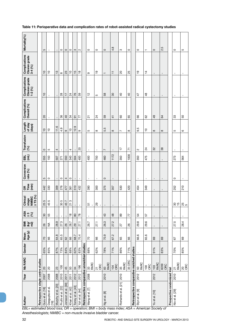| Author                                      |      | Year   Nb RARC           | Gender       | Mean<br>Age (y) | <u>នី ទិ</u> ភ្ន | $453$<br>$29$<br>$(9)$         | $\geq$ T3 (%)<br>stage<br>NMIBC<br>Clinical | OR<br>Time<br>(min) | Conversion<br>rate (%) | Έ<br>흾         | Transfusion $\binom{96}{9}$ | Length<br>of stay<br>(days) | Complications<br>Overall (%) | Complications<br>Clavien grade<br>$1-2(%)$ | Complications<br>Clavien grade<br>$3-4(%)$ | Mortality(%)             |
|---------------------------------------------|------|--------------------------|--------------|-----------------|------------------|--------------------------------|---------------------------------------------|---------------------|------------------------|----------------|-----------------------------|-----------------------------|------------------------------|--------------------------------------------|--------------------------------------------|--------------------------|
| Retrospective single centre studies         |      |                          |              |                 |                  |                                |                                             |                     |                        |                |                             |                             |                              |                                            |                                            |                          |
| Guru et al. [18]                            | 2007 | $\overline{c}$           | 65%          | $\overline{C}$  | 26               | $30\,$                         | 255                                         | 442                 | 5                      | 555            | $\circ$                     | $\overline{C}$              | $\overline{c}$               | $\overline{C}$                             | $\overline{C}$                             | 5                        |
| Dasgupta et al.<br>[19]                     | 2008 | $\overline{c}$           | 85%          | 89              | $\lessgtr$       | 55                             | S<br>45                                     | 330                 | $\circ$                | 150            | S                           | $\tilde{c}$                 | $\mathbf{I}$                 | $\mathbf{I}$                               | $\tilde{c}$                                | $\mathbf{I}$             |
| Murphy et al. [20]                          | 2008 | 23                       | 87%          | 64.8            | 28.9             |                                | $\mathbf{I}$                                | 309                 | $\mathbf{I}$           | 507            | 4                           | 11.6                        | $\mathbf{I}$                 | $\mathbf{I}$                               | $\frac{1}{2}$                              | $\mathbf{I}$             |
| [22]<br>Pruthi et al.                       | 2010 | $\frac{100}{2}$          | 73%          | 65.5            | 27.3             |                                | S<br>$\overline{30}$                        | 276                 | $\circ$                | 271            | $\mathbf{I}$                | οņ<br>4                     | 36                           | 28                                         | $\infty$                                   | $\circ$                  |
| Jonsson et al. [30]                         | 2011 | 45                       | 84%          | $62\,$          | 26               |                                | 457                                         | 477                 | 4                      | 550            | $\blacksquare$              | ၜ                           | $\overline{a}$               | $\overline{1}$                             | 23                                         | $\circ$                  |
| Khan et al. [42]                            | 2011 | SO                       | 88%          | 89              | 28.7             | $\overset{\infty}{\mathbf{-}}$ | ო<br>$\overline{2}$                         | 361                 | $\circ$                | 340            | 4                           | $\tilde{c}$                 | 34                           | $^{24}$                                    | $\tilde{c}$                                | $\circ$                  |
| Torrey et al. [43]                          | 2012 | 34                       | 62%          | 68.7            | 29               | $\rm ^{8}$                     | $\mathbf{I}$                                | 510                 | $\mathbf{I}$           | 504            | $\mathbf I$                 | တ<br>$\frac{1}{2}$          | 5                            | 76                                         | $\frac{5}{1}$                              | S                        |
| Yuh et al. [44]                             | 2012 | 196                      | 83%          | 70.4            | 27.1             | $\overline{78}$                | $\blacksquare$                              | 432                 | $\blacksquare$         | 400            | $\overline{c}$              | ၜ                           | 77                           | 59                                         | $\frac{8}{10}$                             | $\sim$                   |
| Retrospective comparative unmatched studies |      |                          |              |                 |                  |                                |                                             |                     |                        |                |                             |                             |                              |                                            |                                            |                          |
| Wang et al. [7]                             | 2008 | 33<br>RARC               | 88%          | 20              | 26.7             | $\mathbf{I}$                   | 57<br>$\mathbf{L}$                          | 390                 | $\mathbf{I}$           | 400            | $\blacksquare$              | 5                           | 5                            | $\frac{1}{2}$                              | ၜ                                          | $\circ$                  |
|                                             |      | $rac{21}{0}$             | 62%          | 89              | 27.1             |                                | 29<br>$\blacksquare$                        | 300                 | $\blacksquare$         | 750            | $\mathbf{I}$                | $\infty$                    | $^{24}$                      | 5                                          | $\frac{1}{2}$                              | $\circ$                  |
| Ng et al. [8]                               | 2010 | 83<br>RARC               | 78%          | 70.9            | 26.3             | 43                             | $\mathbf{I}$                                | 375                 | 0                      | 460            | Ľ                           | rú<br>ທ່                    | S9                           | 58                                         | $\overline{\phantom{0}}$                   | $\circ$                  |
|                                             |      | ORC<br>104               | 71%          | 67.2            | 27.2             | 48                             | $\blacksquare$                              | 357                 | $\mathbf{I}$           | 1172           | $\mathbf{I}$                | $\infty$                    | $\frac{4}{3}$                | $30\,$                                     | Ξ                                          | $4.\overline{8}$         |
| Richards et al. [21]                        | 2010 | RARC<br>35               | 86%          | 65              | 27               | 89                             | $\blacksquare$                              | 530                 |                        | 350            | 17                          | $\overline{ }$              | 8                            | $\overline{4}$                             | $\overline{c}$                             | S                        |
|                                             |      | 35 ORC                   | 71%          | 66              | 26               | 77                             | $\mathbf{I}$                                | 420                 |                        | 1000           | Ч                           | $\infty$                    | 89                           | $\overline{a}$                             | 25                                         | $\circ$                  |
| Retrospective comparative matched studies   |      |                          |              |                 |                  |                                |                                             |                     |                        |                |                             |                             |                              |                                            |                                            |                          |
| Styn et al. [9]                             | 2012 | 50<br>RARC               |              | 66.6            | 29.8             | 54                             | ٠                                           | 454                 | $\mathbf{I}$           | 350            | $\sim$                      | rú<br>တ                     | 8                            | $\ddot{4}$                                 | $\frac{1}{2}$                              | $\circ$                  |
|                                             |      | $\frac{100}{\text{ORC}}$ | $\mathbf{I}$ | 65.6            | 29.6             | 57                             | $\mathbf{I}$                                | 349                 | $\blacksquare$         | 475            | $^{24}$                     | $\overline{C}$              | 8                            | $\frac{8}{3}$                              | $\ddot{4}$                                 | $\overline{\phantom{0}}$ |
| Yu et al. [10]                              | 2012 | RARC<br>103              | 91%          | 69              | $\mathbf I$      | $\mathbf{I}$                   | $\blacksquare$                              | $\mathbf I$         | $\mathbf{I}$           | $\mathbf{I}$   | 32                          | $\infty$                    | $\overline{6}$               | $\blacksquare$                             | $\blacksquare$                             | $\circ$                  |
|                                             |      | 8209<br>ORC              | 83%          | 69              | $\blacksquare$   | $\blacksquare$                 | $\mathbf{I}$                                | $\blacksquare$      | $\blacksquare$         | $\blacksquare$ | 38                          | $\infty$                    | $\mathfrak{g}$               | $\mathbf I$                                | $\blacksquare$                             | τÚ<br>$\sim$             |
| Prospective randomized trial                |      |                          |              |                 |                  |                                |                                             |                     |                        |                |                             |                             |                              |                                            |                                            |                          |
| Nix et al. [29]                             | 2010 | $21$<br>RARC             | 70%          | 67              | 27.5             |                                | 30                                          | 252                 | O                      | 273            |                             | 5                           | 33                           | $\mathbf{L}$                               | $\mathbf{I}$                               | $\circ$                  |
|                                             |      | $rac{20}{\text{ORC}}$    | 85%          | 69              | 28.4             |                                | 25<br>5                                     | 210                 |                        | 564            |                             | $\circ$                     | 50                           | $\mathbf{I}$                               | $\blacksquare$                             | 5                        |

#### **Table 11: Perioperative data and complication rates of robot-assisted radical cystectomy studies**

*EBL= estimated blood loss; OR = operation; BMI = body mass index; ASA = American Society of Anesthesiologists; NMIBC = non-muscle invasive bladder cancer.*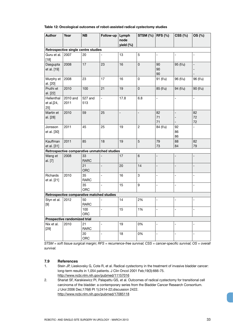#### **Table 12: Oncological outcomes of robot-assisted radical cystectomy studies**

| <b>Author</b>                      | Year                         | <b>NB</b>                                   | Follow-up                | Lymph<br>node  | STSM $(%)$       | <b>RFS (%)</b>           | <b>CSS (%)</b>               | OS (%)                   |
|------------------------------------|------------------------------|---------------------------------------------|--------------------------|----------------|------------------|--------------------------|------------------------------|--------------------------|
|                                    |                              |                                             |                          | yield (%)      |                  |                          |                              |                          |
|                                    |                              | Retrospective single centre studies         |                          |                |                  |                          |                              |                          |
| Guru et al.<br>$[18]$              | 2007                         | 20                                          |                          | 13             | 5                |                          |                              |                          |
| Dasgupta<br>et al. [19]            | 2008                         | 17                                          | 23                       | 16             | $\pmb{0}$        | 90<br>90<br>90           | 95 (f/u)                     | $\overline{\phantom{0}}$ |
| Murphy et<br>al. [20]              | 2008                         | 23                                          | 17                       | 16             | 0                | 91 (f/u)                 | 96 (f/u)                     | 96 (f/u)                 |
| Pruthi et<br>al. [22]              | 2010                         | 100                                         | 21                       | 19             | $\mathsf 0$      | 85 (f/u)                 | 94 (f/u)                     | 90 (f/u)                 |
| Hellenthal<br>et al.[24,<br>$25$ ] | 2010 and<br>2011             | 527 and<br>513                              | $\blacksquare$           | 17.8           | 6.8              | $\overline{\phantom{a}}$ | $\blacksquare$               | $\overline{a}$           |
| Martin et<br>al. [28]              | 2010                         | 59                                          | 25                       | $\overline{a}$ | $\overline{a}$   | 82<br>71<br>71           | $\qquad \qquad \blacksquare$ | 82<br>72<br>72           |
| Jonsson<br>et al. [30]             | 2011                         | 45                                          | 25                       | 19             | $\overline{c}$   | 84 (f/u)                 | 92<br>86<br>86               | $\overline{a}$           |
| Kauffman<br>et al. [31]            | 2011                         | 85                                          | 18                       | 19             | $\sqrt{5}$       | 79<br>73                 | 88<br>84                     | 82<br>79                 |
|                                    |                              | Retrospective comparative unmatched studies |                          |                |                  |                          |                              |                          |
| Wang et<br>al. [7]                 | 2008                         | 33<br><b>RARC</b>                           |                          | 17             | $\,6$            |                          |                              | $\overline{\phantom{0}}$ |
|                                    |                              | 21<br>ORC                                   |                          | 20             | 14               | L,                       |                              | $\overline{a}$           |
| Richards<br>et al. [21]            | 2010                         | 35<br><b>RARC</b>                           | $\overline{a}$           | 16             | 3                | L                        | ÷,                           | $\overline{a}$           |
|                                    |                              | 35<br><b>ORC</b>                            | $\overline{\phantom{a}}$ | 15             | $\boldsymbol{9}$ | -                        | $\frac{1}{2}$                | $\overline{\phantom{0}}$ |
|                                    |                              | Retrospective comparative matched studies   |                          |                |                  |                          |                              |                          |
| Styn et al.<br>$[9]$               | 2012                         | 50<br><b>RARC</b>                           |                          | 14             | 2%               | L,                       | $\overline{\phantom{0}}$     | $\overline{\phantom{0}}$ |
|                                    |                              | 100<br>ORC                                  |                          | 15             | 1%               |                          |                              |                          |
|                                    | Prospective randomized trial |                                             |                          |                |                  |                          |                              |                          |
| Nix et al.<br>$[29]$               | 2010                         | 21<br><b>RARC</b>                           |                          | 19             | 0%               |                          |                              | $\overline{\phantom{0}}$ |
|                                    |                              | 20<br>ORC                                   | $\overline{a}$           | 18             | 0%               |                          |                              | $\overline{a}$           |

*STSM = soft tissue surgical margin; RFS = recurrence-free survival; CSS = cancer-specific survival; OS = overall survival.*

#### **7.9 References**

- 1. Stein JP, Lieskovsky G, Cote R, et al. Radical cystectomy in the treatment of invasive bladder cancer: long-term results in 1,054 patients. J Clin Oncol 2001 Feb;19(3):666-75. http://www.ncbi.nlm.nih.gov/pubmed/11157016
- 2. Shariat SF, Karakiewicz PI, Palapattu GS, et al. Outcomes of radical cystectomy for transitional cell carcinoma of the bladder: a contemporary series from the Bladder Cancer Research Consortium. J Urol 2006 Dec;176(6 Pt 1):2414-22;discussion 2422. http://www.ncbi.nlm.nih.gov/pubmed/17085118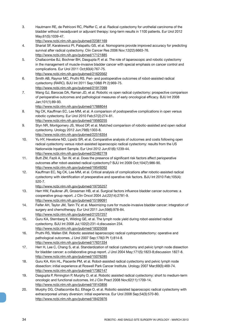3. Hautmann RE, de Petriconi RC, Pfeiffer C, et al. Radical cystectomy for urothelial carcinoma of the bladder without neoadjuvant or adjuvant therapy: long-term results in 1100 patients. Eur Urol 2012 May;61(5):1039-47.

http://www.ncbi.nlm.nih.gov/pubmed/22381169

- 4. Shariat SF, Karakiewicz PI, Palapattu GS, et al. Nomograms provide improved accuracy for predicting survival after radical cystectomy. Clin Cancer Res 2006 Nov;12(22):6663-76. http://www.ncbi.nlm.nih.gov/pubmed/17121885
- 5. Challacombe BJ, Bochner BH, Dasgupta P, et al. The role of laparoscopic and robotic cystectomy in the management of muscle-invasive bladder cancer with special emphasis on cancer control and complications. Eur Urol 2011 Oct;60(4):767-75. http://www.ncbi.nlm.nih.gov/pubmed/21620562
- 6. Smith AB, Raynor MC, Pruthi RS. Peri- and postoperative outcomes of robot-assisted radical cystectomy (RARC). BJU Int 2011 Sep;108(6 Pt 2):969-75. http://www.ncbi.nlm.nih.gov/pubmed/21917099
- 7. Wang GJ, Barocas DA, Raman JD, et al. Robotic vs open radical cystectomy: prospective comparison of perioperative outcomes and pathological measures of early oncological efficacy. BJU Int 2008 Jan;101(1):89-93.

http://www.ncbi.nlm.nih.gov/pubmed/17888044

- 8. Ng CK, Kauffman EC, Lee MM, et al. A comparison of postoperative complications in open versus robotic cystectomy. Eur Urol 2010 Feb;57(2):274-81. http://www.ncbi.nlm.nih.gov/pubmed/19560255
- 9. Styn NR, Montgomery JS, Wood DP, et al. Matched comparison of robotic-assisted and open radical cystectomy. Urology 2012 Jun;79(6):1303-8.

http://www.ncbi.nlm.nih.gov/pubmed/22516354

- 10. Yu HY, Hevelone ND, Lipsitz SR, et al. Comparative analysis of outcomes and costs following open radical cystectomy versus robot-assisted laparoscopic radical cystectomy: results from the US Nationwide Inpatient Sample. Eur Urol 2012 Jun;61(6):1239-44. http://www.ncbi.nlm.nih.gov/pubmed/22482778
- 11. Butt ZM, Fazili A, Tan W, et al. Does the presence of significant risk factors affect perioperative outcomes after robot-assisted radical cystectomy? BJU Int 2009 Oct;104(7):986-90. http://www.ncbi.nlm.nih.gov/pubmed/19549262
- 12. Kauffman EC, Ng CK, Lee MM, et al. Critical analysis of complications after robotic-assisted radical cystectomy with identification of preoperative and operative risk factors. BJU Int 2010 Feb;105(4): 520-7.

http://www.ncbi.nlm.nih.gov/pubmed/19735257

- 13. Herr HW, Faulkner JR, Grossman HB, et al. Surgical factors influence bladder cancer outcomes: a cooperative group report. J Clin Oncol 2004 Jul;22(14):2781-9. http://www.ncbi.nlm.nih.gov/pubmed/15199091
- 14. Feifer AH, Taylor JM, Tarin TV, et al. Maximizing cure for muscle-invasive bladder cancer: integration of surgery and chemotherapy. Eur Urol 2011 Jun;59(6):978-84. http://www.ncbi.nlm.nih.gov/pubmed/21257257
- 15. Guru KA, Sternberg K, Wilding GE, et al. The lymph node yield during robot-assisted radical cystectomy. BJU Int 2008 Jul;102(2):231-4;discussion 234. http://www.ncbi.nlm.nih.gov/pubmed/18325058
- 16. Pruthi RS, Wallen EM. Robotic assisted laparoscopic radical cystoprostatectomy: operative and pathological outcomes. J Urol 2007 Sep;178(3 Pt 1):814-8. http://www.ncbi.nlm.nih.gov/pubmed/17631334
- 17. Herr H, Lee C, Chang S, et al. Standardization of radical cystectomy and pelvic lymph node dissection for bladder cancer: a collaborative group report. J Urol 2004 May;171(5):1823-8;discussion 1827-8. http://www.ncbi.nlm.nih.gov/pubmed/15076285
- 18. Guru KA, Kim HL, Piacente PM, et al. Robot-assisted radical cystectomy and pelvic lymph node dissection: initial experience at Roswell Park Cancer Institute. Urology 2007 Mar;69(3):469-74. http://www.ncbi.nlm.nih.gov/pubmed/17382147
- 19. Dasgupta P, Rimington P, Murphy D, et al. Robotic assisted radical cystectomy: short to medium-term oncologic and functional outcomes. Int J Clin Pract 2008 Nov;62(11):1709-14. http://www.ncbi.nlm.nih.gov/pubmed/19143856
- 20. Murphy DG, Challacombe BJ, Elhage O, et al. Robotic-assisted laparoscopic radical cystectomy with extracorporeal urinary diversion: initial experience. Eur Urol 2008 Sep;54(3):570-80. http://www.ncbi.nlm.nih.gov/pubmed/18423976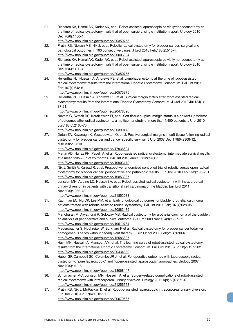21. Richards KA, Hemal AK, Kader AK, et al. Robot assisted laparoscopic pelvic lymphadenectomy at the time of radical cystectomy rivals that of open surgery: single institution report. Urology 2010 Dec;76(6):1400-4.

http://www.ncbi.nlm.nih.gov/pubmed/20350755

- 22. Pruthi RS, Nielsen ME, Nix J, et al. Robotic radical cystectomy for bladder cancer: surgical and pathological outcomes in 100 consecutive cases. J Urol 2010 Feb;183(2):510-4. http://www.ncbi.nlm.nih.gov/pubmed/20006884
- 23. Richards KA, Hemal AK, Kader AK, et al. Robot assisted laparoscopic pelvic lymphadenectomy at the time of radical cystectomy rivals that of open surgery: single institution report. Urology 2010 Dec;76(6):1400-4.

http://www.ncbi.nlm.nih.gov/pubmed/20350755

- 24. Hellenthal NJ, Hussain A, Andrews PE, et al. Lymphadenectomy at the time of robot-assisted radical cystectomy: results from the International Robotic Cystectomy Consortium. BJU Int 2011 Feb;107(4):642-6. http://www.ncbi.nlm.nih.gov/pubmed/20575975
- 25. Hellenthal NJ, Hussain A, Andrews PE, et al. Surgical margin status after robot assisted radical cystectomy: results from the International Robotic Cystectomy Consortium. J Urol 2010 Jul;184(1): 87-91.

http://www.ncbi.nlm.nih.gov/pubmed/20478596

- 26. Novara G, Svatek RS, Karakiewicz PI, et al. Soft tissue surgical margin status is a powerful predictor of outcomes after radical cystectomy: a multicenter study of more than 4,400 patients. J Urol 2010 Jun;183(6):2165-70. http://www.ncbi.nlm.nih.gov/pubmed/20399473
- 27. Dotan ZA, Kavanagh K, Yossepowitch O, et al. Positive surgical margins in soft tissue following radical cystectomy for bladder cancer and cancer specific survival. J Urol 2007 Dec;178(6):2308-12; discussion 2313.

http://www.ncbi.nlm.nih.gov/pubmed/17936804

- 28. Martin AD, Nunez RN, Pacelli A, et al. Robot-assisted radical cystectomy: intermediate survival results at a mean follow-up of 25 months. BJU Int 2010 Jun;105(12):1706-9. http://www.ncbi.nlm.nih.gov/pubmed/19903170
- 29. Nix J, Smith A, Kurpad R, et al. Prospective randomized controlled trial of robotic versus open radical cystectomy for bladder cancer: perioperative and pathologic results. Eur Urol 2010 Feb;57(2):196-201. http://www.ncbi.nlm.nih.gov/pubmed/19853987
- 30. Jonsson MN, Adding LC, Hosseini A, et al. Robot-assisted radical cystectomy with intracorporeal urinary diversion in patients with transitional cell carcinoma of the bladder. Eur Urol 2011 Nov;60(5):1066-73.
	- http://www.ncbi.nlm.nih.gov/pubmed/21852033
- 31. Kauffman EC, Ng CK, Lee MM, et al. Early oncological outcomes for bladder urothelial carcinoma patients treated with robotic-assisted radical cystectomy. BJU Int 2011 Feb;107(4):628-35. http://www.ncbi.nlm.nih.gov/pubmed/20883479
- 32. Manoharan M, Ayyathurai R, Soloway MS. Radical cystectomy for urothelial carcinoma of the bladder: an analysis of perioperative and survival outcome. BJU Int 2009 Nov;104(9):1227-32. http://www.ncbi.nlm.nih.gov/pubmed/19519764
- 33. Madersbacher S, Hochreiter W, Burkhard F, et al. Radical cystectomy for bladder cancer today--a homogeneous series without neoadjuvant therapy. J Clin Oncol 2003 Feb;21(4):690-6. http://www.ncbi.nlm.nih.gov/pubmed/12586807
- 34. Hayn MH, Hussain A, Mansour AM, et al. The learning curve of robot-assisted radical cystectomy: results from the International Robotic Cystectomy Consortium. Eur Urol 2010 Aug;58(2):197-202. http://www.ncbi.nlm.nih.gov/pubmed/20434830
- 35. Haber GP, Campbell SC, Colombo JR Jr, et al. Perioperative outcomes with laparoscopic radical cystectomy: "pure laparoscopic" and "open-assisted laparoscopic" approaches. Urology 2007 Nov;70(5):910-5.

http://www.ncbi.nlm.nih.gov/pubmed/18068447

- 36. Schumacher MC, Jonsson MN, Hosseini A, et al. Surgery-related complications of robot-assisted radical cystectomy with intracorporeal urinary diversion. Urology 2011 Apr;77(4):871-6. http://www.ncbi.nlm.nih.gov/pubmed/21256563
- 37. Pruthi RS, Nix J, McRackan D, et al. Robotic-assisted laparoscopic intracorporeal urinary diversion. Eur Urol 2010 Jun;57(6):1013-21. http://www.ncbi.nlm.nih.gov/pubmed/20079567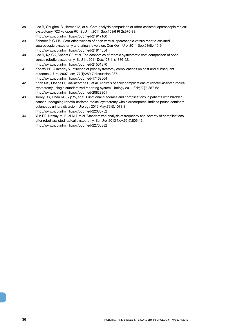- 38. Lee R, Chughtai B, Herman M, et al. Cost-analysis comparison of robot-assisted laparoscopic radical cystectomy (RC) vs open RC. BJU Int 2011 Sep;108(6 Pt 2):976-83. http://www.ncbi.nlm.nih.gov/pubmed/21917100
- 39. Zehnder P, Gill IS. Cost-effectiveness of open versus laparoscopic versus robotic-assisted laparoscopic cystectomy and urinary diversion. Curr Opin Urol 2011 Sep;21(5):415-9. http://www.ncbi.nlm.nih.gov/pubmed/21814054
- 40. Lee R, Ng CK, Shariat SF, et al. The economics of robotic cystectomy: cost comparison of open versus robotic cystectomy. BJU Int 2011 Dec;108(11):1886-92. http://www.ncbi.nlm.nih.gov/pubmed/21501370
- 41. Konety BR, Allareddy V. Influence of post-cystectomy complications on cost and subsequent outcome. J Urol 2007 Jan;177(1):280-7;discussion 287. http://www.ncbi.nlm.nih.gov/pubmed/17162064
- 42. Khan MS, Elhage O, Challacombe B, et al. Analysis of early complications of robotic-assisted radical cystectomy using a standardized reporting system. Urology 2011 Feb;77(2):357-62. http://www.ncbi.nlm.nih.gov/pubmed/20828801
- 43. Torrey RR, Chan KG, Yip W, et al. Functional outcomes and complications in patients with bladder cancer undergoing robotic-assisted radical cystectomy with extracorporeal Indiana pouch continent cutaneous urinary diversion. Urology 2012 May;79(5):1073-8. http://www.ncbi.nlm.nih.gov/pubmed/22386752
- 44. Yuh BE, Nazmy M, Ruel NH, et al. Standardized analysis of frequency and severity of complications after robot-assisted radical cystectomy. Eur Urol 2012 Nov;62(5):806-13. http://www.ncbi.nlm.nih.gov/pubmed/22705382